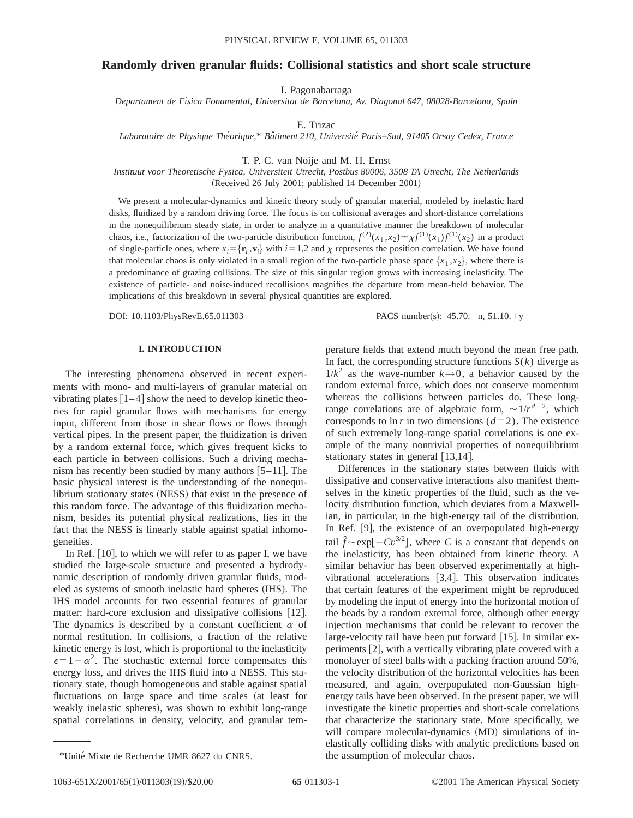# **Randomly driven granular fluids: Collisional statistics and short scale structure**

I. Pagonabarraga

*Departament de Fı´sica Fonamental, Universitat de Barcelona, Av. Diagonal 647, 08028-Barcelona, Spain*

E. Trizac

*Laboratoire de Physique The´orique,*\* *Baˆtiment 210, Universite´ Paris*–*Sud, 91405 Orsay Cedex, France*

T. P. C. van Noije and M. H. Ernst

*Instituut voor Theoretische Fysica, Universiteit Utrecht, Postbus 80006, 3508 TA Utrecht, The Netherlands* (Received 26 July 2001; published 14 December 2001)

We present a molecular-dynamics and kinetic theory study of granular material, modeled by inelastic hard disks, fluidized by a random driving force. The focus is on collisional averages and short-distance correlations in the nonequilibrium steady state, in order to analyze in a quantitative manner the breakdown of molecular chaos, i.e., factorization of the two-particle distribution function,  $f^{(2)}(x_1, x_2) \approx \chi f^{(1)}(x_1) f^{(1)}(x_2)$  in a product of single-particle ones, where  $x_i = \{r_i, v_i\}$  with  $i = 1,2$  and  $\chi$  represents the position correlation. We have found that molecular chaos is only violated in a small region of the two-particle phase space  $\{x_1, x_2\}$ , where there is a predominance of grazing collisions. The size of this singular region grows with increasing inelasticity. The existence of particle- and noise-induced recollisions magnifies the departure from mean-field behavior. The implications of this breakdown in several physical quantities are explored.

DOI:  $10.1103/PhysRevE.65.011303$  PACS number(s):  $45.70.-n, 51.10.+v$ 

## **I. INTRODUCTION**

The interesting phenomena observed in recent experiments with mono- and multi-layers of granular material on vibrating plates  $\lceil 1-4 \rceil$  show the need to develop kinetic theories for rapid granular flows with mechanisms for energy input, different from those in shear flows or flows through vertical pipes. In the present paper, the fluidization is driven by a random external force, which gives frequent kicks to each particle in between collisions. Such a driving mechanism has recently been studied by many authors  $[5-11]$ . The basic physical interest is the understanding of the nonequilibrium stationary states (NESS) that exist in the presence of this random force. The advantage of this fluidization mechanism, besides its potential physical realizations, lies in the fact that the NESS is linearly stable against spatial inhomogeneities.

In Ref.  $[10]$ , to which we will refer to as paper I, we have studied the large-scale structure and presented a hydrodynamic description of randomly driven granular fluids, modeled as systems of smooth inelastic hard spheres (IHS). The IHS model accounts for two essential features of granular matter: hard-core exclusion and dissipative collisions  $[12]$ . The dynamics is described by a constant coefficient  $\alpha$  of normal restitution. In collisions, a fraction of the relative kinetic energy is lost, which is proportional to the inelasticity  $\epsilon=1-\alpha^2$ . The stochastic external force compensates this energy loss, and drives the IHS fluid into a NESS. This stationary state, though homogeneous and stable against spatial fluctuations on large space and time scales (at least for weakly inelastic spheres), was shown to exhibit long-range spatial correlations in density, velocity, and granular temperature fields that extend much beyond the mean free path. In fact, the corresponding structure functions  $S(k)$  diverge as  $1/k^2$  as the wave-number  $k\rightarrow 0$ , a behavior caused by the random external force, which does not conserve momentum whereas the collisions between particles do. These longrange correlations are of algebraic form,  $\sim 1/r^{d-2}$ , which corresponds to ln *r* in two dimensions  $(d=2)$ . The existence of such extremely long-range spatial correlations is one example of the many nontrivial properties of nonequilibrium stationary states in general  $[13,14]$ .

Differences in the stationary states between fluids with dissipative and conservative interactions also manifest themselves in the kinetic properties of the fluid, such as the velocity distribution function, which deviates from a Maxwellian, in particular, in the high-energy tail of the distribution. In Ref.  $[9]$ , the existence of an overpopulated high-energy tail  $\hat{f} \sim \exp[-Cv^{3/2}]$ , where *C* is a constant that depends on the inelasticity, has been obtained from kinetic theory. A similar behavior has been observed experimentally at highvibrational accelerations  $[3,4]$ . This observation indicates that certain features of the experiment might be reproduced by modeling the input of energy into the horizontal motion of the beads by a random external force, although other energy injection mechanisms that could be relevant to recover the large-velocity tail have been put forward  $[15]$ . In similar experiments  $[2]$ , with a vertically vibrating plate covered with a monolayer of steel balls with a packing fraction around 50%, the velocity distribution of the horizontal velocities has been measured, and again, overpopulated non-Gaussian highenergy tails have been observed. In the present paper, we will investigate the kinetic properties and short-scale correlations that characterize the stationary state. More specifically, we will compare molecular-dynamics (MD) simulations of inelastically colliding disks with analytic predictions based on

<sup>\*</sup>Unite´ Mixte de Recherche UMR 8627 du CNRS. the assumption of molecular chaos.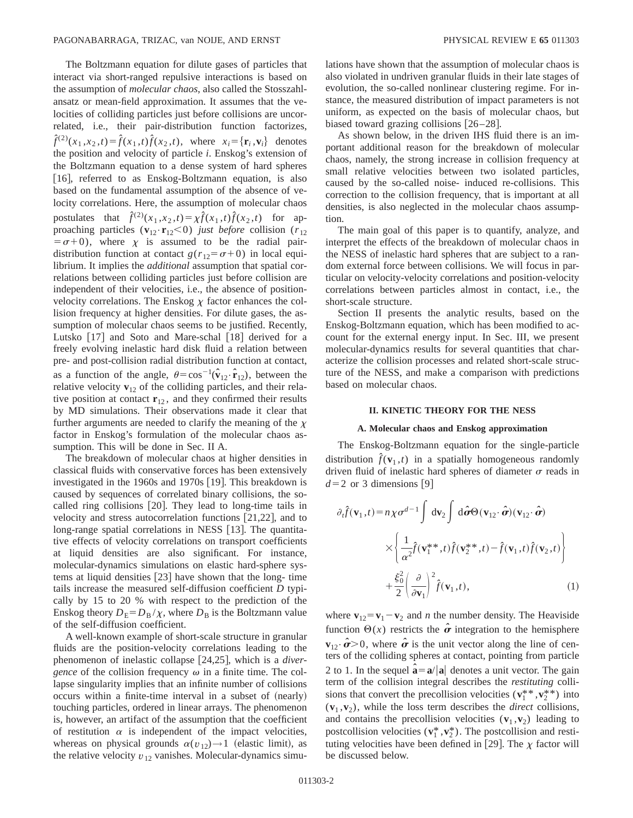The Boltzmann equation for dilute gases of particles that interact via short-ranged repulsive interactions is based on the assumption of *molecular chaos*, also called the Stosszahlansatz or mean-field approximation. It assumes that the velocities of colliding particles just before collisions are uncorrelated, i.e., their pair-distribution function factorizes,  $\hat{f}^{(2)}(x_1, x_2, t) = \hat{f}(x_1, t)\hat{f}(x_2, t)$ , where  $x_i = \{\mathbf{r}_i, \mathbf{v}_i\}$  denotes the position and velocity of particle *i*. Enskog's extension of the Boltzmann equation to a dense system of hard spheres [16], referred to as Enskog-Boltzmann equation, is also based on the fundamental assumption of the absence of velocity correlations. Here, the assumption of molecular chaos postulates that  $\hat{f}^{(2)}(x_1, x_2, t) = \chi \hat{f}(x_1, t) \hat{f}(x_2, t)$  for approaching particles  $(\mathbf{v}_{12} \cdot \mathbf{r}_{12} < 0)$  *just before* collision ( $r_{12}$ )  $(\sigma-\sigma+0)$ , where  $\chi$  is assumed to be the radial pairdistribution function at contact  $g(r_{12} = \sigma + 0)$  in local equilibrium. It implies the *additional* assumption that spatial correlations between colliding particles just before collision are independent of their velocities, i.e., the absence of positionvelocity correlations. The Enskog  $\chi$  factor enhances the collision frequency at higher densities. For dilute gases, the assumption of molecular chaos seems to be justified. Recently, Lutsko  $\lceil 17 \rceil$  and Soto and Mare-schal  $\lceil 18 \rceil$  derived for a freely evolving inelastic hard disk fluid a relation between pre- and post-collision radial distribution function at contact, as a function of the angle,  $\theta = \cos^{-1}(\hat{\mathbf{v}}_{12} \cdot \hat{\mathbf{r}}_{12})$ , between the relative velocity  $\mathbf{v}_{12}$  of the colliding particles, and their relative position at contact  $\mathbf{r}_{12}$ , and they confirmed their results by MD simulations. Their observations made it clear that further arguments are needed to clarify the meaning of the  $\chi$ factor in Enskog's formulation of the molecular chaos assumption. This will be done in Sec. II A.

The breakdown of molecular chaos at higher densities in classical fluids with conservative forces has been extensively investigated in the 1960s and 1970s  $\lceil 19 \rceil$ . This breakdown is caused by sequences of correlated binary collisions, the socalled ring collisions [20]. They lead to long-time tails in velocity and stress autocorrelation functions  $[21,22]$ , and to long-range spatial correlations in NESS [13]. The quantitative effects of velocity correlations on transport coefficients at liquid densities are also significant. For instance, molecular-dynamics simulations on elastic hard-sphere systems at liquid densities  $[23]$  have shown that the long- time tails increase the measured self-diffusion coefficient *D* typically by 15 to 20 % with respect to the prediction of the Enskog theory  $D_E = D_B / \chi$ , where  $D_B$  is the Boltzmann value of the self-diffusion coefficient.

A well-known example of short-scale structure in granular fluids are the position-velocity correlations leading to the phenomenon of inelastic collapse [24,25], which is a *divergence* of the collision frequency  $\omega$  in a finite time. The collapse singularity implies that an infinite number of collisions occurs within a finite-time interval in a subset of (nearly) touching particles, ordered in linear arrays. The phenomenon is, however, an artifact of the assumption that the coefficient of restitution  $\alpha$  is independent of the impact velocities, whereas on physical grounds  $\alpha(v_{12}) \rightarrow 1$  (elastic limit), as the relative velocity  $v_{12}$  vanishes. Molecular-dynamics simulations have shown that the assumption of molecular chaos is also violated in undriven granular fluids in their late stages of evolution, the so-called nonlinear clustering regime. For instance, the measured distribution of impact parameters is not uniform, as expected on the basis of molecular chaos, but biased toward grazing collisions  $[26-28]$ .

As shown below, in the driven IHS fluid there is an important additional reason for the breakdown of molecular chaos, namely, the strong increase in collision frequency at small relative velocities between two isolated particles, caused by the so-called noise- induced re-collisions. This correction to the collision frequency, that is important at all densities, is also neglected in the molecular chaos assumption.

The main goal of this paper is to quantify, analyze, and interpret the effects of the breakdown of molecular chaos in the NESS of inelastic hard spheres that are subject to a random external force between collisions. We will focus in particular on velocity-velocity correlations and position-velocity correlations between particles almost in contact, i.e., the short-scale structure.

Section II presents the analytic results, based on the Enskog-Boltzmann equation, which has been modified to account for the external energy input. In Sec. III, we present molecular-dynamics results for several quantities that characterize the collision processes and related short-scale structure of the NESS, and make a comparison with predictions based on molecular chaos.

# **II. KINETIC THEORY FOR THE NESS**

## **A. Molecular chaos and Enskog approximation**

The Enskog-Boltzmann equation for the single-particle distribution  $\hat{f}(\mathbf{v}_1,t)$  in a spatially homogeneous randomly driven fluid of inelastic hard spheres of diameter  $\sigma$  reads in  $d=2$  or 3 dimensions [9]

$$
\partial_t \hat{f}(\mathbf{v}_1, t) = n \chi \sigma^{d-1} \int d\mathbf{v}_2 \int d\hat{\boldsymbol{\sigma}} \Theta(\mathbf{v}_{12} \cdot \hat{\boldsymbol{\sigma}})(\mathbf{v}_{12} \cdot \hat{\boldsymbol{\sigma}})
$$

$$
\times \left\{ \frac{1}{\alpha^2} \hat{f}(\mathbf{v}_1^{**}, t) \hat{f}(\mathbf{v}_2^{**}, t) - \hat{f}(\mathbf{v}_1, t) \hat{f}(\mathbf{v}_2, t) \right\}
$$

$$
+ \frac{\xi_0^2}{2} \left( \frac{\partial}{\partial \mathbf{v}_1} \right)^2 \hat{f}(\mathbf{v}_1, t), \tag{1}
$$

where  $\mathbf{v}_{12} = \mathbf{v}_1 - \mathbf{v}_2$  and *n* the number density. The Heaviside function  $\Theta(x)$  restricts the  $\hat{\sigma}$  integration to the hemisphere  $\mathbf{v}_{12} \cdot \hat{\boldsymbol{\sigma}} > 0$ , where  $\hat{\boldsymbol{\sigma}}$  is the unit vector along the line of centers of the colliding spheres at contact, pointing from particle 2 to 1. In the sequel  $\mathbf{a} = \mathbf{a}/|\mathbf{a}|$  denotes a unit vector. The gain term of the collision integral describes the *restituting* collisions that convert the precollision velocities  $(\mathbf{v}_1^{**}, \mathbf{v}_2^{**})$  into  $(v_1, v_2)$ , while the loss term describes the *direct* collisions, and contains the precollision velocities  $(\mathbf{v}_1, \mathbf{v}_2)$  leading to postcollision velocities  $(\mathbf{v}_1^*, \mathbf{v}_2^*)$ . The postcollision and restituting velocities have been defined in [29]. The  $\chi$  factor will be discussed below.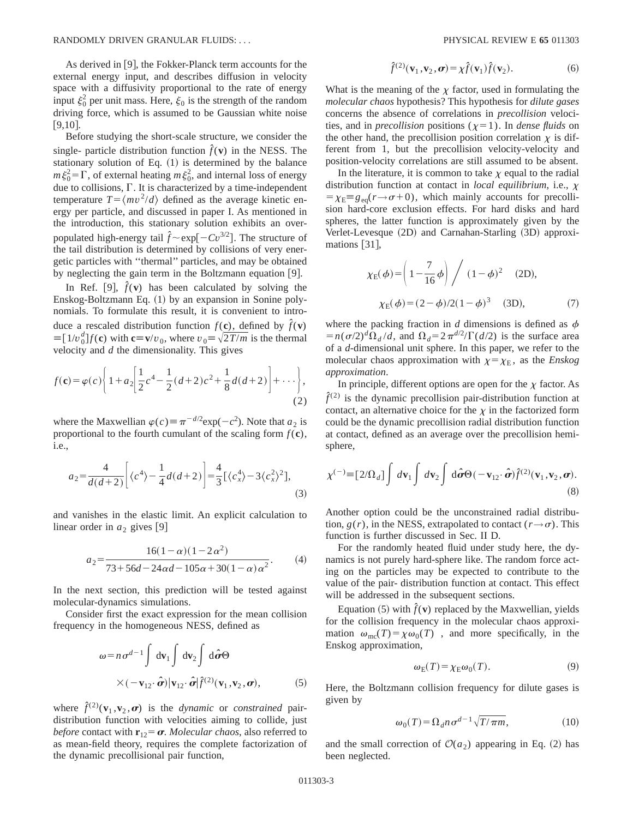As derived in  $\vert 9 \vert$ , the Fokker-Planck term accounts for the external energy input, and describes diffusion in velocity space with a diffusivity proportional to the rate of energy input  $\xi_0^2$  per unit mass. Here,  $\xi_0$  is the strength of the random driving force, which is assumed to be Gaussian white noise  $[9,10]$ .

Before studying the short-scale structure, we consider the single- particle distribution function  $\hat{f}(\mathbf{v})$  in the NESS. The stationary solution of Eq.  $(1)$  is determined by the balance  $m \xi_0^2 = \Gamma$ , of external heating  $m \xi_0^2$ , and internal loss of energy due to collisions,  $\Gamma$ . It is characterized by a time-independent temperature  $T = \langle mv^2/d \rangle$  defined as the average kinetic energy per particle, and discussed in paper I. As mentioned in the introduction, this stationary solution exhibits an overpopulated high-energy tail  $\hat{f} \sim \exp[-Cv^{3/2}]$ . The structure of the tail distribution is determined by collisions of very energetic particles with ''thermal'' particles, and may be obtained by neglecting the gain term in the Boltzmann equation  $[9]$ .

In Ref. [9],  $\hat{f}(\mathbf{v})$  has been calculated by solving the Enskog-Boltzmann Eq.  $(1)$  by an expansion in Sonine polynomials. To formulate this result, it is convenient to introduce a rescaled distribution function  $f(\mathbf{c})$ , defined by  $\hat{f}(\mathbf{v})$  $\equiv [1/v_0^d] f(\mathbf{c})$  with  $\mathbf{c} \equiv \mathbf{v}/v_0$ , where  $v_0 \equiv \sqrt{2T/m}$  is the thermal velocity and *d* the dimensionality. This gives

$$
f(\mathbf{c}) = \varphi(c) \left\{ 1 + a_2 \left[ \frac{1}{2} c^4 - \frac{1}{2} (d+2) c^2 + \frac{1}{8} d(d+2) \right] + \cdots \right\},\tag{2}
$$

where the Maxwellian  $\varphi(c) \equiv \pi^{-d/2} \exp(-c^2)$ . Note that  $a_2$  is proportional to the fourth cumulant of the scaling form  $f(c)$ , i.e.,

$$
a_2 = \frac{4}{d(d+2)} \left[ \langle c^4 \rangle - \frac{1}{4} d(d+2) \right] = \frac{4}{3} \left[ \langle c_x^4 \rangle - 3 \langle c_x^2 \rangle^2 \right],
$$
\n(3)

and vanishes in the elastic limit. An explicit calculation to linear order in  $a_2$  gives [9]

$$
a_2 = \frac{16(1-\alpha)(1-2\alpha^2)}{73+56d-24\alpha d - 105\alpha + 30(1-\alpha)\alpha^2}.
$$
 (4)

In the next section, this prediction will be tested against molecular-dynamics simulations.

Consider first the exact expression for the mean collision frequency in the homogeneous NESS, defined as

$$
\omega = n \sigma^{d-1} \int d\mathbf{v}_1 \int d\mathbf{v}_2 \int d\hat{\boldsymbol{\sigma}} \Theta
$$
  
 
$$
\times (-\mathbf{v}_{12} \cdot \hat{\boldsymbol{\sigma}}) |\mathbf{v}_{12} \cdot \hat{\boldsymbol{\sigma}}| \hat{f}^{(2)}(\mathbf{v}_1, \mathbf{v}_2, \boldsymbol{\sigma}),
$$
 (5)

where  $\hat{f}^{(2)}(\mathbf{v}_1, \mathbf{v}_2, \sigma)$  is the *dynamic* or *constrained* pairdistribution function with velocities aiming to collide, just *before* contact with  $\mathbf{r}_{12} = \boldsymbol{\sigma}$ . *Molecular chaos*, also referred to as mean-field theory, requires the complete factorization of the dynamic precollisional pair function,

$$
\hat{f}^{(2)}(\mathbf{v}_1, \mathbf{v}_2, \boldsymbol{\sigma}) = \chi \hat{f}(\mathbf{v}_1) \hat{f}(\mathbf{v}_2).
$$
 (6)

What is the meaning of the  $\chi$  factor, used in formulating the *molecular chaos* hypothesis? This hypothesis for *dilute gases* concerns the absence of correlations in *precollision* velocities, and in *precollision* positions ( $\chi=1$ ). In *dense fluids* on the other hand, the precollision position correlation  $\chi$  is different from 1, but the precollision velocity-velocity and position-velocity correlations are still assumed to be absent.

In the literature, it is common to take  $\chi$  equal to the radial distribution function at contact in *local equilibrium*, i.e., <sup>x</sup>  $=\chi_E \equiv g_{eq}(r \rightarrow \sigma + 0)$ , which mainly accounts for precollision hard-core exclusion effects. For hard disks and hard spheres, the latter function is approximately given by the Verlet-Levesque (2D) and Carnahan-Starling (3D) approximations  $[31]$ ,

$$
\chi_{\rm E}(\phi) = \left(1 - \frac{7}{16}\phi\right) / (1 - \phi)^2
$$
 (2D),  

$$
\chi_{\rm E}(\phi) = (2 - \phi)/2(1 - \phi)^3
$$
 (3D), (7)

where the packing fraction in *d* dimensions is defined as  $\phi$  $= n(\sigma/2)^d \Omega_d / d$ , and  $\Omega_d = 2 \pi^{d/2}/\Gamma(d/2)$  is the surface area of a *d*-dimensional unit sphere. In this paper, we refer to the molecular chaos approximation with  $\chi = \chi_E$ , as the *Enskog approximation*.

In principle, different options are open for the  $\chi$  factor. As  $\hat{f}^{(2)}$  is the dynamic precollision pair-distribution function at contact, an alternative choice for the  $\chi$  in the factorized form could be the dynamic precollision radial distribution function at contact, defined as an average over the precollision hemisphere,

$$
\chi^{(-)} \equiv [2/\Omega_d] \int d\mathbf{v}_1 \int d\mathbf{v}_2 \int d\hat{\boldsymbol{\sigma}} \Theta(-\mathbf{v}_{12} \cdot \hat{\boldsymbol{\sigma}}) \hat{f}^{(2)}(\mathbf{v}_1, \mathbf{v}_2, \boldsymbol{\sigma}).
$$
\n(8)

Another option could be the unconstrained radial distribution,  $g(r)$ , in the NESS, extrapolated to contact  $(r \rightarrow \sigma)$ . This function is further discussed in Sec. II D.

For the randomly heated fluid under study here, the dynamics is not purely hard-sphere like. The random force acting on the particles may be expected to contribute to the value of the pair- distribution function at contact. This effect will be addressed in the subsequent sections.

Equation (5) with  $\hat{f}(\mathbf{v})$  replaced by the Maxwellian, yields for the collision frequency in the molecular chaos approximation  $\omega_{\text{mc}}(T) = \chi \omega_0(T)$ , and more specifically, in the Enskog approximation,

$$
\omega_{\mathcal{E}}(T) = \chi_{\mathcal{E}}\omega_0(T). \tag{9}
$$

Here, the Boltzmann collision frequency for dilute gases is given by

$$
\omega_0(T) = \Omega_d n \sigma^{d-1} \sqrt{T/\pi m},\qquad(10)
$$

and the small correction of  $O(a_2)$  appearing in Eq. (2) has been neglected.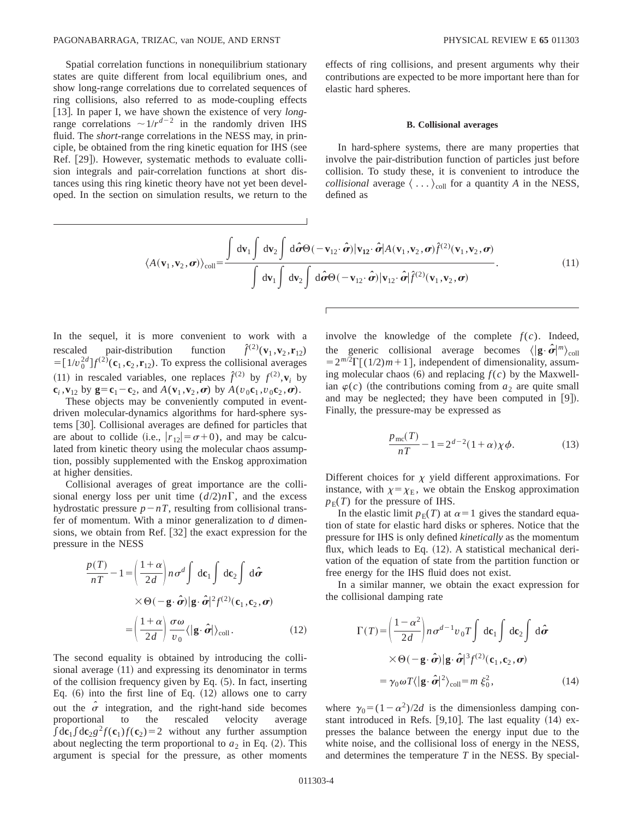Spatial correlation functions in nonequilibrium stationary states are quite different from local equilibrium ones, and show long-range correlations due to correlated sequences of ring collisions, also referred to as mode-coupling effects [13]. In paper I, we have shown the existence of very *long*range correlations  $\sim 1/r^{d-2}$  in the randomly driven IHS fluid. The *short*-range correlations in the NESS may, in principle, be obtained from the ring kinetic equation for IHS (see Ref. [29]). However, systematic methods to evaluate collision integrals and pair-correlation functions at short distances using this ring kinetic theory have not yet been developed. In the section on simulation results, we return to the effects of ring collisions, and present arguments why their contributions are expected to be more important here than for elastic hard spheres.

#### **B. Collisional averages**

In hard-sphere systems, there are many properties that involve the pair-distribution function of particles just before collision. To study these, it is convenient to introduce the *collisional* average  $\langle \dots \rangle_{\text{coll}}$  for a quantity *A* in the NESS, defined as

$$
\langle A(\mathbf{v}_1, \mathbf{v}_2, \boldsymbol{\sigma}) \rangle_{\text{coll}} = \frac{\int d\mathbf{v}_1 \int d\mathbf{v}_2 \int d\hat{\boldsymbol{\sigma}} \Theta(-\mathbf{v}_{12} \cdot \hat{\boldsymbol{\sigma}}) |\mathbf{v}_{12} \cdot \hat{\boldsymbol{\sigma}} | A(\mathbf{v}_1, \mathbf{v}_2, \boldsymbol{\sigma}) \hat{f}^{(2)}(\mathbf{v}_1, \mathbf{v}_2, \boldsymbol{\sigma})}{\int d\mathbf{v}_1 \int d\mathbf{v}_2 \int d\hat{\boldsymbol{\sigma}} \Theta(-\mathbf{v}_{12} \cdot \hat{\boldsymbol{\sigma}}) |\mathbf{v}_{12} \cdot \hat{\boldsymbol{\sigma}} | \hat{f}^{(2)}(\mathbf{v}_1, \mathbf{v}_2, \boldsymbol{\sigma})}.
$$
(11)

In the sequel, it is more convenient to work with a rescaled pair-distribution function  $\hat{f}^{(2)}(\mathbf{v}_1, \mathbf{v}_2, \mathbf{r}_{12})$  $=$ [1/*v*<sup>2*d*</sup>] $f^{(2)}$ (**c**<sub>1</sub>,**c**<sub>2</sub>,**r**<sub>12</sub>). To express the collisional averages (11) in rescaled variables, one replaces  $\hat{f}^{(2)}$  by  $f^{(2)}$ ,  $\mathbf{v}_i$  by **c**<sub>*i*</sub>, **v**<sub>12</sub> by **g**=**c**<sub>1</sub></sub> - **c**<sub>2</sub>, and *A*(**v**<sub>1</sub>, **v**<sub>2</sub>, *o*) by *A*(*v*<sub>0</sub>**c**<sub>1</sub>, *v*<sub>0</sub>**c**<sub>2</sub>, *o*).

These objects may be conveniently computed in eventdriven molecular-dynamics algorithms for hard-sphere systems [30]. Collisional averages are defined for particles that are about to collide (i.e.,  $|r_{12}| = \sigma + 0$ ), and may be calculated from kinetic theory using the molecular chaos assumption, possibly supplemented with the Enskog approximation at higher densities.

Collisional averages of great importance are the collisional energy loss per unit time  $(d/2)n\Gamma$ , and the excess hydrostatic pressure  $p - nT$ , resulting from collisional transfer of momentum. With a minor generalization to *d* dimensions, we obtain from Ref.  $[32]$  the exact expression for the pressure in the NESS

$$
\frac{p(T)}{nT} - 1 = \left(\frac{1+\alpha}{2d}\right) n \sigma^d \int d\mathbf{c}_1 \int d\mathbf{c}_2 \int d\hat{\boldsymbol{\sigma}}
$$

$$
\times \Theta(-\mathbf{g} \cdot \hat{\boldsymbol{\sigma}}) |\mathbf{g} \cdot \hat{\boldsymbol{\sigma}}|^2 f^{(2)}(\mathbf{c}_1, \mathbf{c}_2, \boldsymbol{\sigma})
$$

$$
= \left(\frac{1+\alpha}{2d}\right) \frac{\sigma \omega}{v_0} \langle |\mathbf{g} \cdot \hat{\boldsymbol{\sigma}}| \rangle_{\text{coll}}. \tag{12}
$$

The second equality is obtained by introducing the collisional average  $(11)$  and expressing its denominator in terms of the collision frequency given by Eq.  $(5)$ . In fact, inserting Eq.  $(6)$  into the first line of Eq.  $(12)$  allows one to carry out the  $\hat{\sigma}$  integration, and the right-hand side becomes proportional to the rescaled velocity average  $\int d\mathbf{c}_1 \int d\mathbf{c}_2 g^2 f(\mathbf{c}_1) f(\mathbf{c}_2) = 2$  without any further assumption about neglecting the term proportional to  $a_2$  in Eq. (2). This argument is special for the pressure, as other moments involve the knowledge of the complete  $f(c)$ . Indeed, the generic collisional average becomes  $\langle |\mathbf{g} \cdot \hat{\boldsymbol{\sigma}}|^{m} \rangle_{\text{coll}}$  $=2^{m/2}\Gamma\left[\frac{1}{2}\right]m+1$ , independent of dimensionality, assuming molecular chaos  $(6)$  and replacing  $f(c)$  by the Maxwellian  $\varphi(c)$  (the contributions coming from  $a_2$  are quite small and may be neglected; they have been computed in  $[9]$ ). Finally, the pressure-may be expressed as

$$
\frac{p_{\rm mc}(T)}{nT} - 1 = 2^{d-2}(1+\alpha)\chi\phi.
$$
 (13)

Different choices for  $\chi$  yield different approximations. For instance, with  $\chi=\chi_{\rm E}$ , we obtain the Enskog approximation  $p_E(T)$  for the pressure of IHS.

In the elastic limit  $p_E(T)$  at  $\alpha=1$  gives the standard equation of state for elastic hard disks or spheres. Notice that the pressure for IHS is only defined *kinetically* as the momentum flux, which leads to Eq.  $(12)$ . A statistical mechanical derivation of the equation of state from the partition function or free energy for the IHS fluid does not exist.

In a similar manner, we obtain the exact expression for the collisional damping rate

$$
\Gamma(T) = \left(\frac{1-\alpha^2}{2d}\right) n \sigma^{d-1} v_0 T \int d\mathbf{c}_1 \int d\mathbf{c}_2 \int d\hat{\boldsymbol{\sigma}}
$$

$$
\times \Theta(-\mathbf{g} \cdot \hat{\boldsymbol{\sigma}}) |\mathbf{g} \cdot \hat{\boldsymbol{\sigma}}|^{3} f^{(2)}(\mathbf{c}_1, \mathbf{c}_2, \boldsymbol{\sigma})
$$

$$
= \gamma_0 \omega T \langle |\mathbf{g} \cdot \hat{\boldsymbol{\sigma}}|^{2} \rangle_{\text{coll}} = m \xi_0^2, \qquad (14)
$$

where  $\gamma_0 = (1 - \alpha^2)/2d$  is the dimensionless damping constant introduced in Refs.  $[9,10]$ . The last equality  $(14)$  expresses the balance between the energy input due to the white noise, and the collisional loss of energy in the NESS, and determines the temperature *T* in the NESS. By special-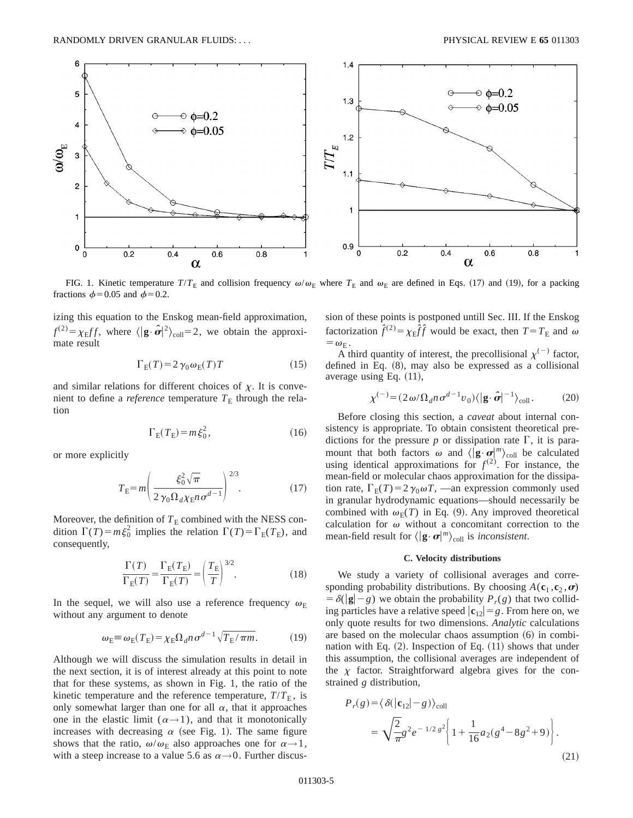

FIG. 1. Kinetic temperature  $T/T_E$  and collision frequency  $\omega/\omega_E$  where  $T_E$  and  $\omega_E$  are defined in Eqs. (17) and (19), for a packing fractions  $\phi$ =0.05 and  $\phi$ =0.2.

izing this equation to the Enskog mean-field approximation,  $f^{(2)} = \chi_E ff$ , where  $\langle |\mathbf{g} \cdot \hat{\boldsymbol{\sigma}}|^2 \rangle_{\text{coll}} = 2$ , we obtain the approximate result

$$
\Gamma_{\rm E}(T) = 2 \gamma_0 \omega_{\rm E}(T) T \tag{15}
$$

and similar relations for different choices of  $\chi$ . It is convenient to define a *reference* temperature  $T<sub>E</sub>$  through the relation

$$
\Gamma_{\rm E}(T_{\rm E}) = m\xi_0^2,\tag{16}
$$

or more explicitly

$$
T_{\rm E} = m \left( \frac{\xi_0^2 \sqrt{\pi}}{2 \gamma_0 \Omega_d \chi_{\rm E} n \sigma^{d-1}} \right)^{2/3}.
$$
 (17)

Moreover, the definition of  $T<sub>E</sub>$  combined with the NESS condition  $\Gamma(T) = m \xi_0^2$  implies the relation  $\Gamma(T) = \Gamma_{\rm E}(T_{\rm E})$ , and consequently,

$$
\frac{\Gamma(T)}{\Gamma_{\rm E}(T)} = \frac{\Gamma_{\rm E}(T_{\rm E})}{\Gamma_{\rm E}(T)} = \left(\frac{T_{\rm E}}{T}\right)^{3/2}.
$$
\n(18)

In the sequel, we will also use a reference frequency  $\omega_F$ without any argument to denote

$$
\omega_{\rm E} \equiv \omega_{\rm E}(T_{\rm E}) = \chi_{\rm E} \Omega_d n \sigma^{d-1} \sqrt{T_{\rm E}/\pi m}.
$$
 (19)

Although we will discuss the simulation results in detail in the next section, it is of interest already at this point to note that for these systems, as shown in Fig. 1, the ratio of the kinetic temperature and the reference temperature,  $T/T_{\rm E}$ , is only somewhat larger than one for all  $\alpha$ , that it approaches one in the elastic limit  $(\alpha \rightarrow 1)$ , and that it monotonically increases with decreasing  $\alpha$  (see Fig. 1). The same figure shows that the ratio,  $\omega/\omega_E$  also approaches one for  $\alpha \rightarrow 1$ , with a steep increase to a value 5.6 as  $\alpha \rightarrow 0$ . Further discussion of these points is postponed untill Sec. III. If the Enskog factorization  $\hat{f}^{(2)} = \chi_E \hat{f} \hat{f}$  would be exact, then  $T = T_E$  and  $\omega$  $=\omega_{\rm E}$ .

A third quantity of interest, the precollisional  $\chi^{(-)}$  factor, defined in Eq.  $(8)$ , may also be expressed as a collisional average using Eq.  $(11)$ ,

$$
\chi^{(-)} = (2\omega/\Omega_d n \sigma^{d-1} v_0) \langle |\mathbf{g} \cdot \hat{\boldsymbol{\sigma}}|^{-1} \rangle_{\text{coll}}. \tag{20}
$$

Before closing this section, a *caveat* about internal consistency is appropriate. To obtain consistent theoretical predictions for the pressure  $p$  or dissipation rate  $\Gamma$ , it is paramount that both factors  $\omega$  and  $\langle |\mathbf{g} \cdot \boldsymbol{\sigma}|^m \rangle_{\text{coll}}$  be calculated using identical approximations for  $f^{(2)}$ . For instance, the mean-field or molecular chaos approximation for the dissipation rate,  $\Gamma_E(T) = 2\gamma_0 \omega T$ , —an expression commonly used in granular hydrodynamic equations—should necessarily be combined with  $\omega_{\rm F}(T)$  in Eq. (9). Any improved theoretical calculation for  $\omega$  without a concomitant correction to the mean-field result for  $\langle |\mathbf{g} \cdot \boldsymbol{\sigma}|^m \rangle_{\text{coll}}$  is *inconsistent*.

# **C. Velocity distributions**

We study a variety of collisional averages and corresponding probability distributions. By choosing  $A(\mathbf{c}_1, \mathbf{c}_2, \boldsymbol{\sigma})$  $= \delta(|\mathbf{g}| - g)$  we obtain the probability  $P_r(g)$  that two colliding particles have a relative speed  $|{\bf c}_{12}| = g$ . From here on, we only quote results for two dimensions. *Analytic* calculations are based on the molecular chaos assumption  $(6)$  in combination with Eq.  $(2)$ . Inspection of Eq.  $(11)$  shows that under this assumption, the collisional averages are independent of the  $\chi$  factor. Straightforward algebra gives for the constrained *g* distribution,

$$
P_r(g) = \langle \delta(|\mathbf{c}_{12}| - g) \rangle_{\text{coll}}
$$
  
=  $\sqrt{\frac{2}{\pi}} g^2 e^{-1/2} s^2 \left\{ 1 + \frac{1}{16} a_2 (g^4 - 8g^2 + 9) \right\}.$  (21)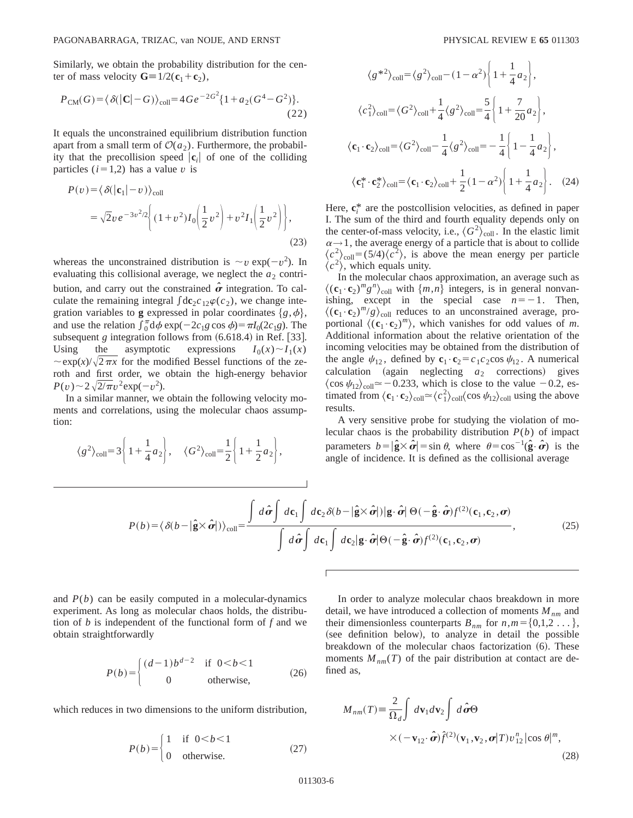Similarly, we obtain the probability distribution for the center of mass velocity  $G \equiv 1/2(c_1+c_2)$ ,

$$
P_{\text{CM}}(G) = \langle \delta (|\mathbf{C}| - G) \rangle_{\text{coll}} = 4 \, Ge^{-2G^2} \{ 1 + a_2 (G^4 - G^2) \}.
$$
\n(22)

It equals the unconstrained equilibrium distribution function apart from a small term of  $\mathcal{O}(a_2)$ . Furthermore, the probability that the precollision speed  $|c_i|$  of one of the colliding particles  $(i=1,2)$  has a value *v* is

$$
P(v) = \langle \delta(|\mathbf{c}_1| - v) \rangle_{\text{coll}}
$$
  
=  $\sqrt{2}v e^{-3v^2/2} \Biggl\{ (1 + v^2) I_0 \Biggl( \frac{1}{2} v^2 \Biggr) + v^2 I_1 \Biggl( \frac{1}{2} v^2 \Biggr) \Biggr\},$  (23)

whereas the unconstrained distribution is  $\sim v \exp(-v^2)$ . In evaluating this collisional average, we neglect the  $a_2$  contribution, and carry out the constrained  $\hat{\sigma}$  integration. To calculate the remaining integral  $\int d\mathbf{c}_2 c_{12}\varphi(c_2)$ , we change integration variables to **g** expressed in polar coordinates  $\{g, \phi\}$ , and use the relation  $\int_0^{\pi} d\phi \exp(-2c_1 g \cos \phi) = \pi I_0(2c_1 g)$ . The subsequent *g* integration follows from  $(6.618.4)$  in Ref.  $|33|$ . Using the asymptotic expressions  $I_0(x) \sim I_1(x)$  $\sim \exp(x)/\sqrt{2\pi x}$  for the modified Bessel functions of the zeroth and first order, we obtain the high-energy behavior  $P(v) \sim 2\sqrt{2/\pi}v^2 \exp(-v^2).$ 

In a similar manner, we obtain the following velocity moments and correlations, using the molecular chaos assumption:

$$
\langle g^2 \rangle_{\text{coll}} = 3 \left\{ 1 + \frac{1}{4} a_2 \right\}, \quad \langle G^2 \rangle_{\text{coll}} = \frac{1}{2} \left\{ 1 + \frac{1}{2} a_2 \right\},
$$

$$
\langle g^{*2} \rangle_{\text{coll}} = \langle g^{2} \rangle_{\text{coll}} - (1 - \alpha^{2}) \left\{ 1 + \frac{1}{4} a_{2} \right\},
$$
  

$$
\langle c_{1}^{2} \rangle_{\text{coll}} = \langle G^{2} \rangle_{\text{coll}} + \frac{1}{4} \langle g^{2} \rangle_{\text{coll}} = \frac{5}{4} \left\{ 1 + \frac{7}{20} a_{2} \right\},
$$
  

$$
\langle \mathbf{c}_{1} \cdot \mathbf{c}_{2} \rangle_{\text{coll}} = \langle G^{2} \rangle_{\text{coll}} - \frac{1}{4} \langle g^{2} \rangle_{\text{coll}} = -\frac{1}{4} \left\{ 1 - \frac{1}{4} a_{2} \right\},
$$
  

$$
\langle \mathbf{c}_{1}^{*} \cdot \mathbf{c}_{2}^{*} \rangle_{\text{coll}} = \langle \mathbf{c}_{1} \cdot \mathbf{c}_{2} \rangle_{\text{coll}} + \frac{1}{2} (1 - \alpha^{2}) \left\{ 1 + \frac{1}{4} a_{2} \right\}. \quad (24)
$$

Here,  $\mathbf{c}_i^*$  are the postcollision velocities, as defined in paper I. The sum of the third and fourth equality depends only on the center-of-mass velocity, i.e.,  $\langle G^2 \rangle_{\text{coll}}$ . In the elastic limit  $\alpha \rightarrow 1$ , the average energy of a particle that is about to collide  $\langle c^2 \rangle_{\text{coll}} = (5/4)\langle c^2 \rangle$ , is above the mean energy per particle  $\langle c^2 \rangle$ , which equals unity.

In the molecular chaos approximation, an average such as  $\langle (\mathbf{c}_1 \cdot \mathbf{c}_2)^m g^n \rangle_{\text{coll}}$  with  $\{m,n\}$  integers, is in general nonvanishing, except in the special case  $n=-1$ . Then,  $\langle (\mathbf{c}_1 \cdot \mathbf{c}_2)^m/g \rangle_{\text{coll}}$  reduces to an unconstrained average, proportional  $\langle (\mathbf{c}_1 \cdot \mathbf{c}_2)^m \rangle$ , which vanishes for odd values of *m*. Additional information about the relative orientation of the incoming velocities may be obtained from the distribution of the angle  $\psi_{12}$ , defined by  $\mathbf{c}_1 \cdot \mathbf{c}_2 = c_1 c_2 \cos \psi_{12}$ . A numerical  $calculation$   $(again$  neglecting  $a_2$  corrections) gives  $\langle \cos \psi_{12} \rangle_{\text{coll}} \simeq -0.233$ , which is close to the value  $-0.2$ , estimated from  $\langle \mathbf{c}_1 \cdot \mathbf{c}_2 \rangle_{\text{coll}} \simeq \langle c_1^2 \rangle_{\text{coll}} \langle \cos \psi_{12} \rangle_{\text{coll}}$  using the above results.

A very sensitive probe for studying the violation of molecular chaos is the probability distribution *P*(*b*) of impact parameters  $b = |\hat{\mathbf{g}} \times \hat{\boldsymbol{\sigma}}| = \sin \theta$ , where  $\theta = \cos^{-1}(\hat{\mathbf{g}} \cdot \hat{\boldsymbol{\sigma}})$  is the angle of incidence. It is defined as the collisional average

$$
P(b) = \langle \delta(b - |\hat{\mathbf{g}} \times \hat{\boldsymbol{\sigma}}|) \rangle_{\text{coll}} = \frac{\int d\hat{\boldsymbol{\sigma}} \int d\mathbf{c}_1 \int d\mathbf{c}_2 \delta(b - |\hat{\mathbf{g}} \times \hat{\boldsymbol{\sigma}}|) |\mathbf{g} \cdot \hat{\boldsymbol{\sigma}}| \Theta(-\hat{\mathbf{g}} \cdot \hat{\boldsymbol{\sigma}}) f^{(2)}(\mathbf{c}_1, \mathbf{c}_2, \boldsymbol{\sigma})}{\int d\hat{\boldsymbol{\sigma}} \int d\mathbf{c}_1 \int d\mathbf{c}_2 |\mathbf{g} \cdot \hat{\boldsymbol{\sigma}}| \Theta(-\hat{\mathbf{g}} \cdot \hat{\boldsymbol{\sigma}}) f^{(2)}(\mathbf{c}_1, \mathbf{c}_2, \boldsymbol{\sigma})},
$$
(25)

and *P*(*b*) can be easily computed in a molecular-dynamics experiment. As long as molecular chaos holds, the distribution of *b* is independent of the functional form of *f* and we obtain straightforwardly

$$
P(b) = \begin{cases} (d-1)b^{d-2} & \text{if } 0 < b < 1\\ 0 & \text{otherwise,} \end{cases}
$$
 (26)

which reduces in two dimensions to the uniform distribution,

$$
P(b) = \begin{cases} 1 & \text{if } 0 < b < 1 \\ 0 & \text{otherwise.} \end{cases} \tag{27}
$$

In order to analyze molecular chaos breakdown in more detail, we have introduced a collection of moments  $M_{nm}$  and their dimensionless counterparts  $B_{nm}$  for  $n,m=\{0,1,2 \ldots\}$ , (see definition below), to analyze in detail the possible breakdown of the molecular chaos factorization (6). These moments  $M_{nm}(T)$  of the pair distribution at contact are defined as,

$$
M_{nm}(T) = \frac{2}{\Omega_d} \int d\mathbf{v}_1 d\mathbf{v}_2 \int d\hat{\boldsymbol{\sigma}} \Theta
$$
  
 
$$
\times (-\mathbf{v}_{12} \cdot \hat{\boldsymbol{\sigma}}) \hat{f}^{(2)}(\mathbf{v}_1, \mathbf{v}_2, \boldsymbol{\sigma} | T) v_{12}^n |\cos \theta|^m,
$$
(28)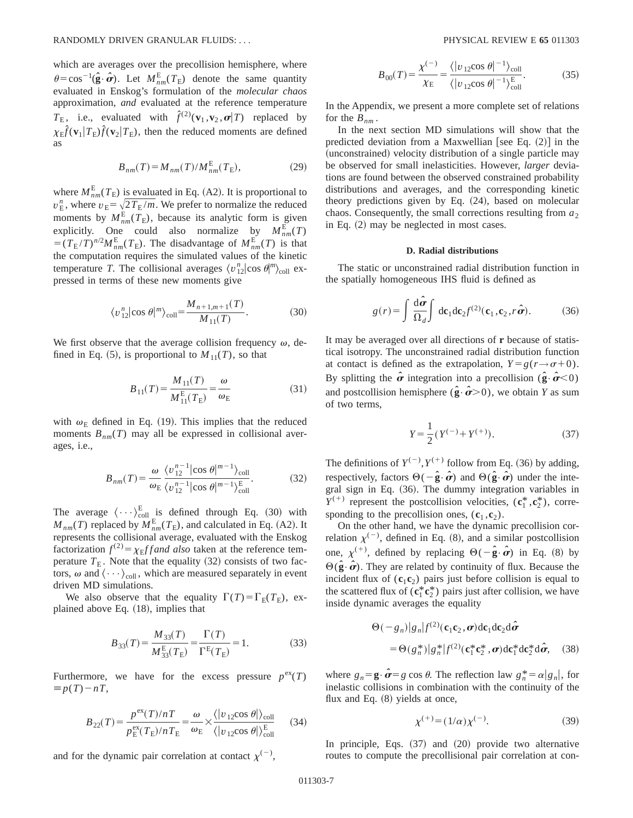which are averages over the precollision hemisphere, where  $\theta = \cos^{-1}(\hat{\mathbf{g}} \cdot \hat{\boldsymbol{\sigma}})$ . Let  $M_{nm}^{\text{E}}(T_{\text{E}})$  denote the same quantity evaluated in Enskog's formulation of the *molecular chaos* approximation, *and* evaluated at the reference temperature  $T_{\rm E}$ , i.e., evaluated with  $\hat{f}^{(2)}(\mathbf{v}_1, \mathbf{v}_2, \mathbf{\sigma}|T)$  replaced by  $\chi_{\rm E} \hat{f}(\mathbf{v}_1 | T_{\rm E}) \hat{f}(\mathbf{v}_2 | T_{\rm E})$ , then the reduced moments are defined as

$$
B_{nm}(T) = M_{nm}(T)/M_{nm}^{E}(T_{E}),
$$
\n(29)

where  $M_{nm}^{\text{E}}(T_{\text{E}})$  is evaluated in Eq. (A2). It is proportional to  $v_{\rm E}^n$ , where  $v_{\rm E} = \sqrt{2T_{\rm E}/m}$ . We prefer to normalize the reduced moments by  $M_{nm}^{\text{E}}(T_{\text{E}})$ , because its analytic form is given explicitly. One could also normalize by  $M_{nm}^E(T)$  $=(T_{\rm E}/T)^{n/2}M_{nm}^{\rm E}(T_{\rm E})$ . The disadvantage of  $M_{nm}^{\rm E}(T)$  is that the computation requires the simulated values of the kinetic temperature *T*. The collisional averages  $\langle v_{12}^n | \cos \theta |^m \rangle_{\text{coll}}$  expressed in terms of these new moments give

$$
\langle v_{12}^n | \cos \theta |^m \rangle_{\text{coll}} = \frac{M_{n+1,m+1}(T)}{M_{11}(T)}.
$$
 (30)

We first observe that the average collision frequency  $\omega$ , defined in Eq. (5), is proportional to  $M_{11}(T)$ , so that

$$
B_{11}(T) = \frac{M_{11}(T)}{M_{11}^{E}(T_{E})} = \frac{\omega}{\omega_{E}}
$$
(31)

with  $\omega_{\rm E}$  defined in Eq. (19). This implies that the reduced moments  $B_{nm}(T)$  may all be expressed in collisional averages, i.e.,

$$
B_{nm}(T) = \frac{\omega}{\omega_{\rm E}} \frac{\langle v_{12}^{n-1} | \cos \theta |^{m-1} \rangle_{\text{coll}}}{\langle v_{12}^{n-1} | \cos \theta |^{m-1} \rangle_{\text{coll}}^{\text{E}}}.
$$
(32)

The average  $\langle \cdots \rangle_{\text{coll}}^E$  is defined through Eq. (30) with  $M_{nm}(T)$  replaced by  $M_{nm}^E(T_E)$ , and calculated in Eq. (A2). It represents the collisional average, evaluated with the Enskog factorization  $f^{(2)} = \chi_E f f$  *also* taken at the reference temperature  $T_{\rm E}$ . Note that the equality (32) consists of two factors,  $\omega$  and  $\langle \cdots \rangle_{\text{coll}}$ , which are measured separately in event driven MD simulations.

We also observe that the equality  $\Gamma(T) = \Gamma_E(T_E)$ , explained above Eq.  $(18)$ , implies that

$$
B_{33}(T) = \frac{M_{33}(T)}{M_{33}^{E}(T_{\rm E})} = \frac{\Gamma(T)}{\Gamma^{E}(T_{\rm E})} = 1.
$$
 (33)

Furthermore, we have for the excess pressure  $p^{ex}(T)$  $\equiv p(T)-nT$ 

$$
B_{22}(T) = \frac{p^{\text{ex}}(T)/nT}{p^{\text{ex}}_{\text{E}}(T_{\text{E}})/nT_{\text{E}}} = \frac{\omega}{\omega_{\text{E}}} \times \frac{\langle |v_{12}\cos\theta|\rangle_{\text{coll}}}{\langle |v_{12}\cos\theta|\rangle_{\text{coll}}^{\text{E}}} \tag{34}
$$

and for the dynamic pair correlation at contact  $\chi^{(-)}$ ,

$$
B_{00}(T) = \frac{\chi^{(-)}}{\chi_{\rm E}} = \frac{\langle |v_{12}\cos\theta|^{-1}\rangle_{\rm coll}}{\langle |v_{12}\cos\theta|^{-1}\rangle_{\rm coll}^{\rm E}}.\tag{35}
$$

In the Appendix, we present a more complete set of relations for the  $B_{nm}$ .

In the next section MD simulations will show that the predicted deviation from a Maxwellian [see Eq.  $(2)$ ] in the (unconstrained) velocity distribution of a single particle may be observed for small inelasticities. However, *larger* deviations are found between the observed constrained probability distributions and averages, and the corresponding kinetic theory predictions given by Eq.  $(24)$ , based on molecular chaos. Consequently, the small corrections resulting from  $a_2$ in Eq.  $(2)$  may be neglected in most cases.

# **D. Radial distributions**

The static or unconstrained radial distribution function in the spatially homogeneous IHS fluid is defined as

$$
g(r) = \int \frac{\mathrm{d}\hat{\boldsymbol{\sigma}}}{\Omega_d} \int \mathrm{d}\mathbf{c}_1 \mathrm{d}\mathbf{c}_2 f^{(2)}(\mathbf{c}_1, \mathbf{c}_2, r\hat{\boldsymbol{\sigma}}). \tag{36}
$$

It may be averaged over all directions of **r** because of statistical isotropy. The unconstrained radial distribution function at contact is defined as the extrapolation,  $Y = g(r \rightarrow \sigma + 0)$ . By splitting the  $\hat{\sigma}$  integration into a precollision ( $\hat{\mathbf{g}} \cdot \hat{\mathbf{\sigma}} \le 0$ ) and postcollision hemisphere ( $\hat{\mathbf{g}} \cdot \hat{\mathbf{\sigma}} > 0$ ), we obtain *Y* as sum of two terms,

$$
Y = \frac{1}{2} (Y^{(-)} + Y^{(+)}).
$$
 (37)

The definitions of  $Y^{(-)}$ ,  $Y^{(+)}$  follow from Eq. (36) by adding, respectively, factors  $\Theta(-\hat{\mathbf{g}}\cdot\hat{\boldsymbol{\sigma}})$  and  $\Theta(\hat{\mathbf{g}}\cdot\hat{\boldsymbol{\sigma}})$  under the integral sign in Eq. (36). The dummy integration variables in  $Y^{(+)}$  represent the postcollision velocities,  $(c_1^*, c_2^*)$ , corresponding to the precollision ones,  $(c_1, c_2)$ .

On the other hand, we have the dynamic precollision correlation  $\chi^{(-)}$ , defined in Eq. (8), and a similar postcollision one,  $\chi^{(+)}$ , defined by replacing  $\Theta(-\hat{\mathbf{g}}\cdot\hat{\boldsymbol{\sigma}})$  in Eq. (8) by  $\Theta(\hat{\mathbf{g}}\cdot\hat{\boldsymbol{\sigma}})$ . They are related by continuity of flux. Because the incident flux of  $(c_1c_2)$  pairs just before collision is equal to the scattered flux of  $(c_1^*c_2^*)$  pairs just after collision, we have inside dynamic averages the equality

$$
\Theta(-g_n)|g_n|f^{(2)}(\mathbf{c}_1\mathbf{c}_2,\boldsymbol{\sigma})d\mathbf{c}_1d\mathbf{c}_2d\hat{\boldsymbol{\sigma}}
$$
  
= 
$$
\Theta(g_n^*)|g_n^*|f^{(2)}(\mathbf{c}_1^*\mathbf{c}_2^*,\boldsymbol{\sigma})d\mathbf{c}_1^*d\mathbf{c}_2^*d\hat{\boldsymbol{\sigma}},
$$
 (38)

where  $g_n = \mathbf{g} \cdot \hat{\boldsymbol{\sigma}} = g \cos \theta$ . The reflection law  $g_n^* = \alpha |g_n|$ , for inelastic collisions in combination with the continuity of the flux and Eq.  $(8)$  yields at once,

$$
\chi^{(+)} = (1/\alpha)\chi^{(-)}.\tag{39}
$$

In principle, Eqs.  $(37)$  and  $(20)$  provide two alternative routes to compute the precollisional pair correlation at con-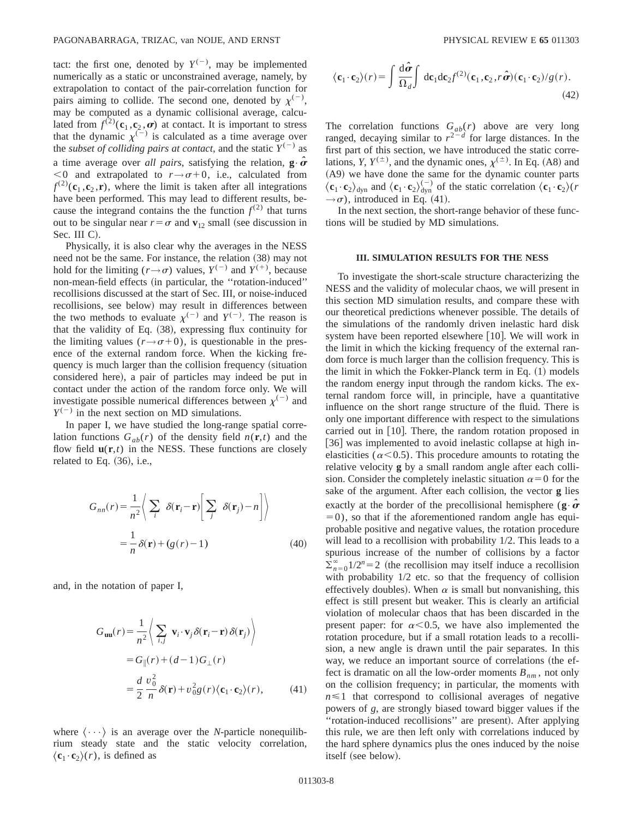tact: the first one, denoted by  $Y^{(-)}$ , may be implemented numerically as a static or unconstrained average, namely, by extrapolation to contact of the pair-correlation function for pairs aiming to collide. The second one, denoted by  $\chi^{(-)}$ , may be computed as a dynamic collisional average, calculated from  $f^{(2)}(c_1, c_2, \sigma)$  at contact. It is important to stress that the dynamic  $\chi^{(-)}$  is calculated as a time average over the *subset of colliding pairs at contact*, and the static  $Y^{(-)}$  as a time average over *all pairs*, satisfying the relation,  $\mathbf{g} \cdot \hat{\boldsymbol{\sigma}}$  $< 0$  and extrapolated to  $r \rightarrow \sigma + 0$ , i.e., calculated from  $f^{(2)}(c_1, c_2, r)$ , where the limit is taken after all integrations have been performed. This may lead to different results, because the integrand contains the the function  $f^{(2)}$  that turns out to be singular near  $r = \sigma$  and  $\mathbf{v}_{12}$  small (see discussion in Sec. III C).

Physically, it is also clear why the averages in the NESS need not be the same. For instance, the relation  $(38)$  may not hold for the limiting  $(r \rightarrow \sigma)$  values,  $Y^{(-)}$  and  $Y^{(+)}$ , because non-mean-field effects (in particular, the "rotation-induced" recollisions discussed at the start of Sec. III, or noise-induced recollisions, see below) may result in differences between the two methods to evaluate  $\chi^{(-)}$  and  $Y^{(-)}$ . The reason is that the validity of Eq.  $(38)$ , expressing flux continuity for the limiting values  $(r \rightarrow \sigma + 0)$ , is questionable in the presence of the external random force. When the kicking frequency is much larger than the collision frequency (situation considered here), a pair of particles may indeed be put in contact under the action of the random force only. We will investigate possible numerical differences between  $\chi^{(-)}$  and  $Y^{(-)}$  in the next section on MD simulations.

In paper I, we have studied the long-range spatial correlation functions  $G_{ab}(r)$  of the density field  $n(\mathbf{r},t)$  and the flow field  $\mathbf{u}(\mathbf{r},t)$  in the NESS. These functions are closely related to Eq.  $(36)$ , i.e.,

$$
G_{nn}(r) = \frac{1}{n^2} \left\langle \sum_{i} \delta(\mathbf{r}_{i} - \mathbf{r}) \left[ \sum_{j} \delta(\mathbf{r}_{j}) - n \right] \right\rangle
$$

$$
= \frac{1}{n} \delta(\mathbf{r}) + (g(r) - 1)
$$
(40)

and, in the notation of paper I,

$$
G_{\mathbf{u}\mathbf{u}}(r) = \frac{1}{n^2} \left\langle \sum_{i,j} \mathbf{v}_i \cdot \mathbf{v}_j \delta(\mathbf{r}_i - \mathbf{r}) \delta(\mathbf{r}_j) \right\rangle
$$
  
=  $G_{\parallel}(r) + (d - 1)G_{\perp}(r)$   
=  $\frac{d}{2} \frac{v_0^2}{n} \delta(\mathbf{r}) + v_0^2 g(r) \langle \mathbf{c}_1 \cdot \mathbf{c}_2 \rangle(r),$  (41)

where  $\langle \cdots \rangle$  is an average over the *N*-particle nonequilibrium steady state and the static velocity correlation,  $\langle \mathbf{c}_1 \cdot \mathbf{c}_2 \rangle(r)$ , is defined as

$$
\langle \mathbf{c}_1 \cdot \mathbf{c}_2 \rangle(r) = \int \frac{\mathrm{d}\hat{\boldsymbol{\sigma}}}{\Omega_d} \int \mathrm{d}\mathbf{c}_1 \mathrm{d}\mathbf{c}_2 f^{(2)}(\mathbf{c}_1, \mathbf{c}_2, r\hat{\boldsymbol{\sigma}})(\mathbf{c}_1 \cdot \mathbf{c}_2) / g(r). \tag{42}
$$

The correlation functions  $G_{ab}(r)$  above are very long ranged, decaying similar to  $r^{2-d}$  for large distances. In the first part of this section, we have introduced the static correlations, *Y*,  $Y^{(\pm)}$ , and the dynamic ones,  $\chi^{(\pm)}$ . In Eq. (A8) and (A9) we have done the same for the dynamic counter parts  $\langle \mathbf{c}_1 \cdot \mathbf{c}_2 \rangle_{\text{dyn}}$  and  $\langle \mathbf{c}_1 \cdot \mathbf{c}_2 \rangle_{\text{dyn}}^{(-)}$  of the static correlation  $\langle \mathbf{c}_1 \cdot \mathbf{c}_2 \rangle$ (*r*  $\rightarrow \sigma$ ), introduced in Eq. (41).

In the next section, the short-range behavior of these functions will be studied by MD simulations.

#### **III. SIMULATION RESULTS FOR THE NESS**

To investigate the short-scale structure characterizing the NESS and the validity of molecular chaos, we will present in this section MD simulation results, and compare these with our theoretical predictions whenever possible. The details of the simulations of the randomly driven inelastic hard disk system have been reported elsewhere  $[10]$ . We will work in the limit in which the kicking frequency of the external random force is much larger than the collision frequency. This is the limit in which the Fokker-Planck term in Eq. (1) models the random energy input through the random kicks. The external random force will, in principle, have a quantitative influence on the short range structure of the fluid. There is only one important difference with respect to the simulations carried out in  $[10]$ . There, the random rotation proposed in [36] was implemented to avoid inelastic collapse at high inelasticities ( $\alpha$ <0.5). This procedure amounts to rotating the relative velocity **g** by a small random angle after each collision. Consider the completely inelastic situation  $\alpha = 0$  for the sake of the argument. After each collision, the vector **g** lies exactly at the border of the precollisional hemisphere ( $\mathbf{g} \cdot \hat{\boldsymbol{\sigma}}$ <sup></sup>  $(50)$ , so that if the aforementioned random angle has equiprobable positive and negative values, the rotation procedure will lead to a recollision with probability  $1/2$ . This leads to a spurious increase of the number of collisions by a factor  $\sum_{n=0}^{\infty} 1/2^n = 2$  (the recollision may itself induce a recollision with probability  $1/2$  etc. so that the frequency of collision effectively doubles). When  $\alpha$  is small but nonvanishing, this effect is still present but weaker. This is clearly an artificial violation of molecular chaos that has been discarded in the present paper: for  $\alpha$ <0.5, we have also implemented the rotation procedure, but if a small rotation leads to a recollision, a new angle is drawn until the pair separates. In this way, we reduce an important source of correlations (the effect is dramatic on all the low-order moments  $B_{nm}$ , not only on the collision frequency; in particular, the moments with  $n \leq 1$  that correspond to collisional averages of negative powers of *g*, are strongly biased toward bigger values if the "rotation-induced recollisions" are present). After applying this rule, we are then left only with correlations induced by the hard sphere dynamics plus the ones induced by the noise itself (see below).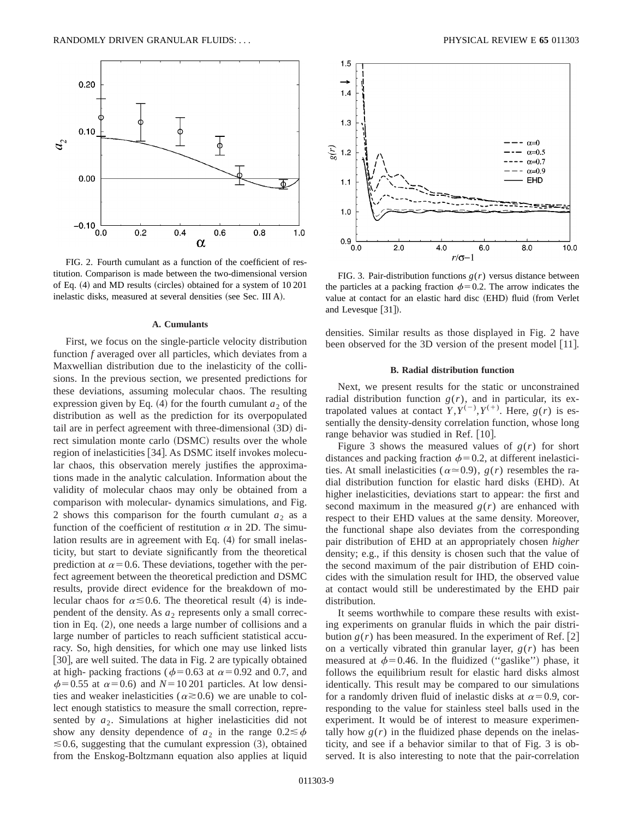

FIG. 2. Fourth cumulant as a function of the coefficient of restitution. Comparison is made between the two-dimensional version of Eq.  $(4)$  and MD results (circles) obtained for a system of  $10\,201$ inelastic disks, measured at several densities (see Sec. III A).

# **A. Cumulants**

First, we focus on the single-particle velocity distribution function *f* averaged over all particles, which deviates from a Maxwellian distribution due to the inelasticity of the collisions. In the previous section, we presented predictions for these deviations, assuming molecular chaos. The resulting expression given by Eq.  $(4)$  for the fourth cumulant  $a<sub>2</sub>$  of the distribution as well as the prediction for its overpopulated tail are in perfect agreement with three-dimensional  $(3D)$  direct simulation monte carlo (DSMC) results over the whole region of inelasticities [34]. As DSMC itself invokes molecular chaos, this observation merely justifies the approximations made in the analytic calculation. Information about the validity of molecular chaos may only be obtained from a comparison with molecular- dynamics simulations, and Fig. 2 shows this comparison for the fourth cumulant  $a_2$  as a function of the coefficient of restitution  $\alpha$  in 2D. The simulation results are in agreement with Eq.  $(4)$  for small inelasticity, but start to deviate significantly from the theoretical prediction at  $\alpha$ =0.6. These deviations, together with the perfect agreement between the theoretical prediction and DSMC results, provide direct evidence for the breakdown of molecular chaos for  $\alpha \leq 0.6$ . The theoretical result (4) is independent of the density. As  $a_2$  represents only a small correction in Eq.  $(2)$ , one needs a large number of collisions and a large number of particles to reach sufficient statistical accuracy. So, high densities, for which one may use linked lists [30], are well suited. The data in Fig. 2 are typically obtained at high- packing fractions ( $\phi$ =0.63 at  $\alpha$ =0.92 and 0.7, and  $\phi$ =0.55 at  $\alpha$ =0.6) and *N*=10201 particles. At low densities and weaker inelasticities ( $\alpha \ge 0.6$ ) we are unable to collect enough statistics to measure the small correction, represented by  $a_2$ . Simulations at higher inelasticities did not show any density dependence of  $a_2$  in the range  $0.2 \le \phi$  $\leq 0.6$ , suggesting that the cumulant expression (3), obtained from the Enskog-Boltzmann equation also applies at liquid



FIG. 3. Pair-distribution functions  $g(r)$  versus distance between the particles at a packing fraction  $\phi$ =0.2. The arrow indicates the value at contact for an elastic hard disc (EHD) fluid (from Verlet and Levesque  $[31]$ .

densities. Similar results as those displayed in Fig. 2 have been observed for the 3D version of the present model [11].

#### **B. Radial distribution function**

Next, we present results for the static or unconstrained radial distribution function  $g(r)$ , and in particular, its extrapolated values at contact  $Y, Y^{(-)}, Y^{(+)}.$  Here,  $g(r)$  is essentially the density-density correlation function, whose long range behavior was studied in Ref.  $[10]$ .

Figure 3 shows the measured values of  $g(r)$  for short distances and packing fraction  $\phi$ =0.2, at different inelasticities. At small inelasticities ( $\alpha \approx 0.9$ ), *g(r)* resembles the radial distribution function for elastic hard disks (EHD). At higher inelasticities, deviations start to appear: the first and second maximum in the measured  $g(r)$  are enhanced with respect to their EHD values at the same density. Moreover, the functional shape also deviates from the corresponding pair distribution of EHD at an appropriately chosen *higher* density; e.g., if this density is chosen such that the value of the second maximum of the pair distribution of EHD coincides with the simulation result for IHD, the observed value at contact would still be underestimated by the EHD pair distribution.

It seems worthwhile to compare these results with existing experiments on granular fluids in which the pair distribution  $g(r)$  has been measured. In the experiment of Ref. [2] on a vertically vibrated thin granular layer, *g*(*r*) has been measured at  $\phi$ =0.46. In the fluidized ("gaslike") phase, it follows the equilibrium result for elastic hard disks almost identically. This result may be compared to our simulations for a randomly driven fluid of inelastic disks at  $\alpha$ =0.9, corresponding to the value for stainless steel balls used in the experiment. It would be of interest to measure experimentally how  $g(r)$  in the fluidized phase depends on the inelasticity, and see if a behavior similar to that of Fig. 3 is observed. It is also interesting to note that the pair-correlation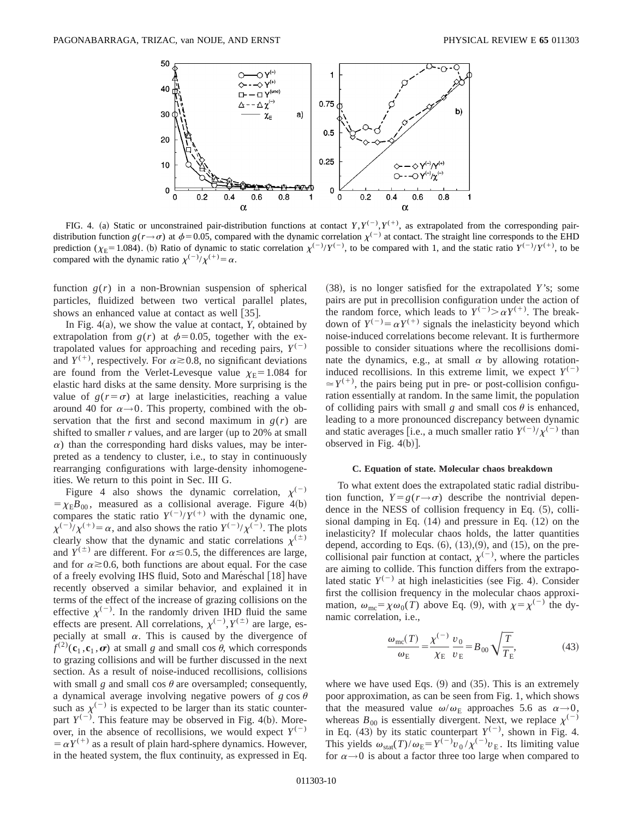

FIG. 4. (a) Static or unconstrained pair-distribution functions at contact  $Y, Y^{(-)}, Y^{(+)}$ , as extrapolated from the corresponding pairdistribution function  $g(r \to \sigma)$  at  $\phi = 0.05$ , compared with the dynamic correlation  $\chi^{(-)}$  at contact. The straight line corresponds to the EHD prediction ( $\chi_E$ =1.084). (b) Ratio of dynamic to static correlation  $\chi^{(-)} / Y^{(-)}$ , to be compared with 1, and the static ratio  $Y^{(-)} / Y^{(+)}$ , to be compared with the dynamic ratio  $\chi^{(-)} / \chi^{(+)} = \alpha$ .

function  $g(r)$  in a non-Brownian suspension of spherical particles, fluidized between two vertical parallel plates, shows an enhanced value at contact as well  $[35]$ .

In Fig.  $4(a)$ , we show the value at contact, *Y*, obtained by extrapolation from  $g(r)$  at  $\phi=0.05$ , together with the extrapolated values for approaching and receding pairs,  $Y^{(-)}$ and  $Y^{(+)}$ , respectively. For  $\alpha \ge 0.8$ , no significant deviations are found from the Verlet-Levesque value  $\chi_{\rm E}$ =1.084 for elastic hard disks at the same density. More surprising is the value of  $g(r=\sigma)$  at large inelasticities, reaching a value around 40 for  $\alpha \rightarrow 0$ . This property, combined with the observation that the first and second maximum in  $g(r)$  are shifted to smaller  $r$  values, and are larger (up to 20% at small  $\alpha$ ) than the corresponding hard disks values, may be interpreted as a tendency to cluster, i.e., to stay in continuously rearranging configurations with large-density inhomogeneities. We return to this point in Sec. III G.

Figure 4 also shows the dynamic correlation,  $\chi^{(-)}$  $=\chi_E B_{00}$ , measured as a collisional average. Figure 4(b) compares the static ratio  $Y^{(-)} / Y^{(+)}$  with the dynamic one,  $\chi^{(-)} / \chi^{(+)} = \alpha$ , and also shows the ratio  $Y^{(-)} / \chi^{(-)}$ . The plots clearly show that the dynamic and static correlations  $\chi^{(\pm)}$ and  $Y^{(\pm)}$  are different. For  $\alpha \le 0.5$ , the differences are large, and for  $\alpha \ge 0.6$ , both functions are about equal. For the case of a freely evolving IHS fluid, Soto and Maréschal  $[18]$  have recently observed a similar behavior, and explained it in terms of the effect of the increase of grazing collisions on the effective  $\chi^{(-)}$ . In the randomly driven IHD fluid the same effects are present. All correlations,  $\chi^{(-)}$ ,  $Y^{(\pm)}$  are large, especially at small  $\alpha$ . This is caused by the divergence of  $f^{(2)}(c_1, c_1, \sigma)$  at small *g* and small cos  $\theta$ , which corresponds to grazing collisions and will be further discussed in the next section. As a result of noise-induced recollisions, collisions with small *g* and small cos  $\theta$  are oversampled; consequently, a dynamical average involving negative powers of  $g \cos \theta$ such as  $\chi^{(-)}$  is expected to be larger than its static counterpart  $Y^{(-)}$ . This feature may be observed in Fig. 4(b). Moreover, in the absence of recollisions, we would expect  $Y^{(-)}$  $= \alpha Y^{(+)}$  as a result of plain hard-sphere dynamics. However, in the heated system, the flux continuity, as expressed in Eq. ~38!, is no longer satisfied for the extrapolated *Y*'s; some pairs are put in precollision configuration under the action of the random force, which leads to  $Y^{(-)} > \alpha Y^{(+)}$ . The breakdown of  $Y^{(-)} = \alpha Y^{(+)}$  signals the inelasticity beyond which noise-induced correlations become relevant. It is furthermore possible to consider situations where the recollisions dominate the dynamics, e.g., at small  $\alpha$  by allowing rotationinduced recollisions. In this extreme limit, we expect  $Y^{(-)}$  $\simeq Y^{(+)}$ , the pairs being put in pre- or post-collision configuration essentially at random. In the same limit, the population of colliding pairs with small *g* and small cos  $\theta$  is enhanced, leading to a more pronounced discrepancy between dynamic and static averages [i.e., a much smaller ratio  $Y^{(-)} / \chi^{(-)}$  than observed in Fig.  $4(b)$ ].

#### **C. Equation of state. Molecular chaos breakdown**

To what extent does the extrapolated static radial distribution function,  $Y = g(r \rightarrow \sigma)$  describe the nontrivial dependence in the NESS of collision frequency in Eq.  $(5)$ , collisional damping in Eq.  $(14)$  and pressure in Eq.  $(12)$  on the inelasticity? If molecular chaos holds, the latter quantities depend, according to Eqs.  $(6)$ ,  $(13)$ ,  $(9)$ , and  $(15)$ , on the precollisional pair function at contact,  $\chi^{(-)}$ , where the particles are aiming to collide. This function differs from the extrapolated static  $Y^{(-)}$  at high inelasticities (see Fig. 4). Consider first the collision frequency in the molecular chaos approximation,  $\omega_{\text{mc}} = \chi \omega_0(T)$  above Eq. (9), with  $\chi = \chi^{(-)}$  the dynamic correlation, i.e.,

$$
\frac{\omega_{\rm mc}(T)}{\omega_{\rm E}} = \frac{\chi^{(-)}}{\chi_{\rm E}} \frac{v_0}{v_{\rm E}} = B_{00} \sqrt{\frac{T}{T_{\rm E}}},\tag{43}
$$

where we have used Eqs.  $(9)$  and  $(35)$ . This is an extremely poor approximation, as can be seen from Fig. 1, which shows that the measured value  $\omega/\omega_{\rm E}$  approaches 5.6 as  $\alpha \rightarrow 0$ , whereas  $B_{00}$  is essentially divergent. Next, we replace  $\chi^{(-)}$ in Eq. (43) by its static counterpart  $Y^{(-)}$ , shown in Fig. 4. This yields  $\omega_{stat}(T)/\omega_E = Y^{(-)}v_0/\chi^{(-)}v_E$ . Its limiting value for  $\alpha \rightarrow 0$  is about a factor three too large when compared to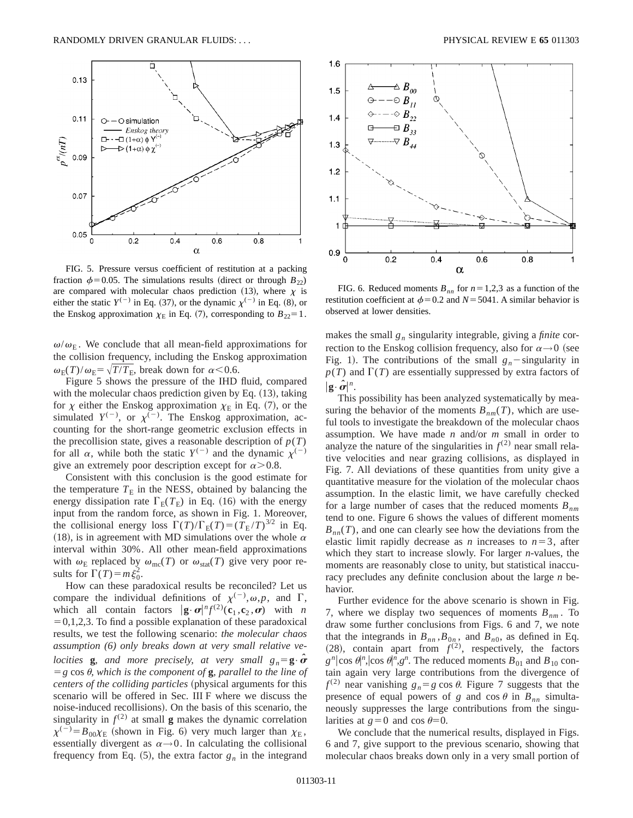

FIG. 5. Pressure versus coefficient of restitution at a packing fraction  $\phi$ =0.05. The simulations results (direct or through *B*<sub>22</sub>) are compared with molecular chaos prediction (13), where  $\chi$  is either the static  $Y^{(-)}$  in Eq. (37), or the dynamic  $\chi^{(-)}$  in Eq. (8), or the Enskog approximation  $\chi_E$  in Eq. (7), corresponding to  $B_{22} = 1$ .

 $\omega/\omega_{\rm E}$ . We conclude that all mean-field approximations for the collision frequency, including the Enskog approximation  $\omega_{\rm E}(T)/\omega_{\rm E} = \sqrt{T/T_{\rm E}}$ , break down for  $\alpha$  < 0.6.

Figure 5 shows the pressure of the IHD fluid, compared with the molecular chaos prediction given by Eq.  $(13)$ , taking for  $\chi$  either the Enskog approximation  $\chi_{\rm E}$  in Eq. (7), or the simulated  $Y^{(-)}$ , or  $\chi^{(-)}$ . The Enskog approximation, accounting for the short-range geometric exclusion effects in the precollision state, gives a reasonable description of  $p(T)$ for all  $\alpha$ , while both the static  $Y^{(-)}$  and the dynamic  $\chi^{(-)}$ give an extremely poor description except for  $\alpha$  > 0.8.

Consistent with this conclusion is the good estimate for the temperature  $T<sub>E</sub>$  in the NESS, obtained by balancing the energy dissipation rate  $\Gamma_{\rm E}(T_{\rm E})$  in Eq. (16) with the energy input from the random force, as shown in Fig. 1. Moreover, the collisional energy loss  $\Gamma(T)/\Gamma_{\rm E}(T)=(T_{\rm E}/T)^{3/2}$  in Eq. (18), is in agreement with MD simulations over the whole  $\alpha$ interval within 30%. All other mean-field approximations with  $\omega_E$  replaced by  $\omega_{\text{mc}}(T)$  or  $\omega_{\text{stat}}(T)$  give very poor results for  $\Gamma(T) = m \xi_0^2$ .

How can these paradoxical results be reconciled? Let us compare the individual definitions of  $\chi^{(-)}$ ,  $\omega, p$ , and  $\Gamma$ , which all contain factors  $|\mathbf{g} \cdot \boldsymbol{\sigma}|^n f^{(2)}(\mathbf{c}_1, \mathbf{c}_2, \boldsymbol{\sigma})$  with *n*  $=0,1,2,3$ . To find a possible explanation of these paradoxical results, we test the following scenario: *the molecular chaos assumption (6) only breaks down at very small relative velocities* **g***, and more precisely, at very small*  $g_n = \mathbf{g} \cdot \hat{\boldsymbol{\sigma}}$  $=$ g cos  $\theta$ *, which is the component of* **g***, parallel to the line of centers of the colliding particles* (physical arguments for this scenario will be offered in Sec. III F where we discuss the noise-induced recollisions). On the basis of this scenario, the singularity in  $f^{(2)}$  at small **g** makes the dynamic correlation  $\chi^{(-)} = B_{00}\chi_{\rm E}$  (shown in Fig. 6) very much larger than  $\chi_{\rm E}$ , essentially divergent as  $\alpha \rightarrow 0$ . In calculating the collisional frequency from Eq.  $(5)$ , the extra factor  $g_n$  in the integrand



FIG. 6. Reduced moments  $B_{nn}$  for  $n=1,2,3$  as a function of the restitution coefficient at  $\phi$ =0.2 and *N*=5041. A similar behavior is observed at lower densities.

makes the small *gn* singularity integrable, giving a *finite* correction to the Enskog collision frequency, also for  $\alpha \rightarrow 0$  (see Fig. 1). The contributions of the small  $g_n$ -singularity in  $p(T)$  and  $\Gamma(T)$  are essentially suppressed by extra factors of  $|\mathbf{g} \cdot \hat{\boldsymbol{\sigma}}|^{n}$ .

This possibility has been analyzed systematically by measuring the behavior of the moments  $B_{nm}(T)$ , which are useful tools to investigate the breakdown of the molecular chaos assumption. We have made *n* and/or *m* small in order to analyze the nature of the singularities in  $f^{(2)}$  near small relative velocities and near grazing collisions, as displayed in Fig. 7. All deviations of these quantities from unity give a quantitative measure for the violation of the molecular chaos assumption. In the elastic limit, we have carefully checked for a large number of cases that the reduced moments  $B_{nm}$ tend to one. Figure 6 shows the values of different moments  $B_{nn}(T)$ , and one can clearly see how the deviations from the elastic limit rapidly decrease as *n* increases to  $n=3$ , after which they start to increase slowly. For larger *n*-values, the moments are reasonably close to unity, but statistical inaccuracy precludes any definite conclusion about the large *n* behavior.

Further evidence for the above scenario is shown in Fig. 7, where we display two sequences of moments  $B_{nm}$ . To draw some further conclusions from Figs. 6 and 7, we note that the integrands in  $B_{nn}$ ,  $B_{0n}$ , and  $B_{n0}$ , as defined in Eq. (28), contain apart from  $f^{(2)}$ , respectively, the factors  $g^n$ |cos  $\theta^n$ ,|cos  $\theta^n$ , $g^n$ . The reduced moments  $B_{01}$  and  $B_{10}$  contain again very large contributions from the divergence of  $f^{(2)}$  near vanishing  $g_n = g \cos \theta$ . Figure 7 suggests that the presence of equal powers of *g* and cos  $\theta$  in  $B_{nn}$  simultaneously suppresses the large contributions from the singularities at  $g=0$  and cos  $\theta=0$ .

We conclude that the numerical results, displayed in Figs. 6 and 7, give support to the previous scenario, showing that molecular chaos breaks down only in a very small portion of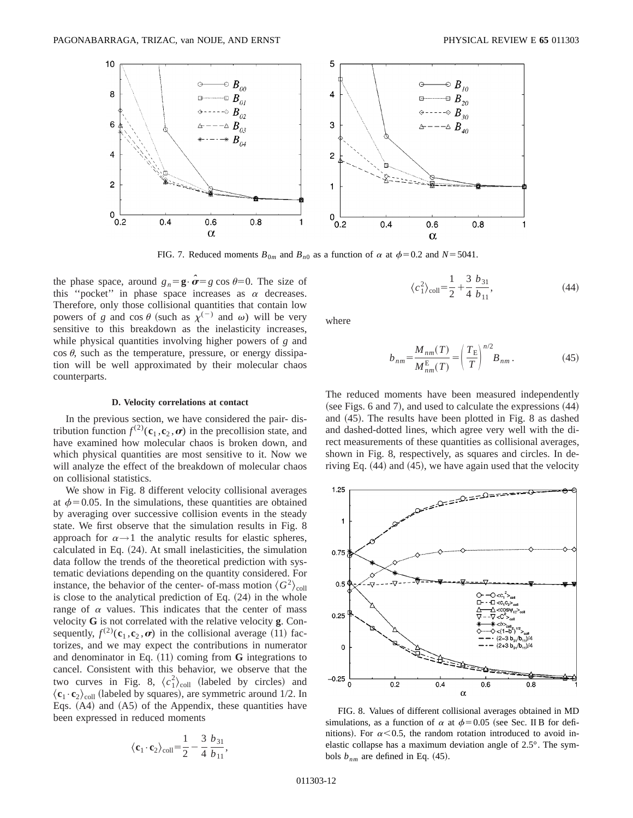

FIG. 7. Reduced moments  $B_{0m}$  and  $B_{n0}$  as a function of  $\alpha$  at  $\phi$ =0.2 and *N*=5041.

the phase space, around  $g_n = \mathbf{g} \cdot \mathbf{\hat{\sigma}} = g \cos \theta = 0$ . The size of this "pocket" in phase space increases as  $\alpha$  decreases. Therefore, only those collisional quantities that contain low powers of *g* and cos  $\theta$  (such as  $\chi^{(-)}$  and  $\omega$ ) will be very sensitive to this breakdown as the inelasticity increases, while physical quantities involving higher powers of *g* and  $\cos \theta$ , such as the temperature, pressure, or energy dissipation will be well approximated by their molecular chaos counterparts.

#### **D. Velocity correlations at contact**

In the previous section, we have considered the pair- distribution function  $f^{(2)}(c_1, c_2, \sigma)$  in the precollision state, and have examined how molecular chaos is broken down, and which physical quantities are most sensitive to it. Now we will analyze the effect of the breakdown of molecular chaos on collisional statistics.

We show in Fig. 8 different velocity collisional averages at  $\phi$ =0.05. In the simulations, these quantities are obtained by averaging over successive collision events in the steady state. We first observe that the simulation results in Fig. 8 approach for  $\alpha \rightarrow 1$  the analytic results for elastic spheres, calculated in Eq.  $(24)$ . At small inelasticities, the simulation data follow the trends of the theoretical prediction with systematic deviations depending on the quantity considered. For instance, the behavior of the center- of-mass motion  $\langle G^2 \rangle_{\text{coll}}$ is close to the analytical prediction of Eq.  $(24)$  in the whole range of  $\alpha$  values. This indicates that the center of mass velocity **G** is not correlated with the relative velocity **g**. Consequently,  $f^{(2)}(c_1, c_2, \sigma)$  in the collisional average (11) factorizes, and we may expect the contributions in numerator and denominator in Eq.  $(11)$  coming from **G** integrations to cancel. Consistent with this behavior, we observe that the two curves in Fig. 8,  $\langle c_1^2 \rangle_{\text{coll}}$  (labeled by circles) and  $\langle c_1 \cdot c_2 \rangle_{\text{coll}}$  (labeled by squares), are symmetric around 1/2. In Eqs.  $(A4)$  and  $(A5)$  of the Appendix, these quantities have been expressed in reduced moments

$$
\langle \mathbf{c}_1 \cdot \mathbf{c}_2 \rangle_{\text{coll}} = \frac{1}{2} - \frac{3}{4} \frac{b_{31}}{b_{11}}
$$

,

where

$$
b_{nm} = \frac{M_{nm}(T)}{M_{nm}^E(T)} = \left(\frac{T_E}{T}\right)^{n/2} B_{nm}.
$$
 (45)

 $(44)$ 

3 4  $b_{31}$  $b_{11}$ 

The reduced moments have been measured independently (see Figs. 6 and 7), and used to calculate the expressions  $(44)$ and  $(45)$ . The results have been plotted in Fig. 8 as dashed and dashed-dotted lines, which agree very well with the direct measurements of these quantities as collisional averages, shown in Fig. 8, respectively, as squares and circles. In deriving Eq.  $(44)$  and  $(45)$ , we have again used that the velocity

 $\langle c_1^2 \rangle_{\text{coll}} = \frac{1}{2} +$ 



FIG. 8. Values of different collisional averages obtained in MD simulations, as a function of  $\alpha$  at  $\phi$ =0.05 (see Sec. II B for definitions). For  $\alpha$ <0.5, the random rotation introduced to avoid inelastic collapse has a maximum deviation angle of 2.5°. The symbols  $b_{nm}$  are defined in Eq. (45).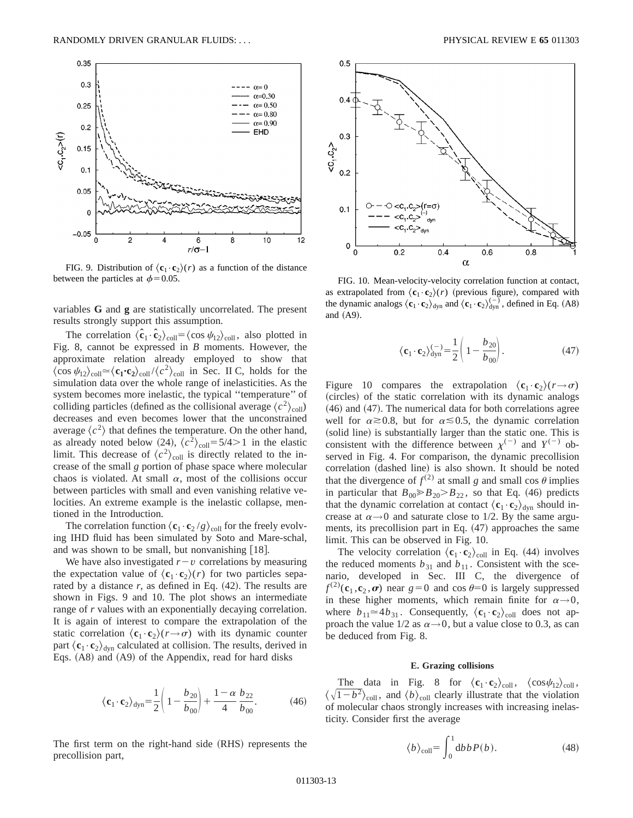

FIG. 9. Distribution of  $\langle \mathbf{c}_1 \cdot \mathbf{c}_2 \rangle(r)$  as a function of the distance between the particles at  $\phi = 0.05$ .

variables **G** and **g** are statistically uncorrelated. The present results strongly support this assumption.

The correlation  $\langle \hat{\mathbf{c}}_1 \cdot \hat{\mathbf{c}}_2 \rangle_{\text{coll}} = \langle \cos \psi_{12} \rangle_{\text{coll}}$ , also plotted in Fig. 8, cannot be expressed in *B* moments. However, the approximate relation already employed to show that  $\langle \cos \psi_{12} \rangle_{\text{coll}} \simeq \langle \mathbf{c}_1 \cdot \mathbf{c}_2 \rangle_{\text{coll}} / \langle c^2 \rangle_{\text{coll}}$  in Sec. II C, holds for the simulation data over the whole range of inelasticities. As the system becomes more inelastic, the typical ''temperature'' of colliding particles (defined as the collisional average  $\langle c^2 \rangle_{\text{coll}}$ ) decreases and even becomes lower that the unconstrained average  $\langle c^2 \rangle$  that defines the temperature. On the other hand, as already noted below (24),  $\langle c^2 \rangle_{\text{coll}} = 5/4 > 1$  in the elastic limit. This decrease of  $\langle c^2 \rangle_{\text{coll}}$  is directly related to the increase of the small *g* portion of phase space where molecular chaos is violated. At small  $\alpha$ , most of the collisions occur between particles with small and even vanishing relative velocities. An extreme example is the inelastic collapse, mentioned in the Introduction.

The correlation function  $\langle \mathbf{c}_1 \cdot \mathbf{c}_2 / g \rangle_{\text{coll}}$  for the freely evolving IHD fluid has been simulated by Soto and Mare-schal, and was shown to be small, but nonvanishing  $[18]$ .

We have also investigated  $r-v$  correlations by measuring the expectation value of  $\langle \mathbf{c}_1 \cdot \mathbf{c}_2 \rangle(r)$  for two particles separated by a distance  $r$ , as defined in Eq.  $(42)$ . The results are shown in Figs. 9 and 10. The plot shows an intermediate range of *r* values with an exponentially decaying correlation. It is again of interest to compare the extrapolation of the static correlation  $\langle \mathbf{c}_1 \cdot \mathbf{c}_2 \rangle$ ( $r \rightarrow \sigma$ ) with its dynamic counter part  $\langle \mathbf{c}_1 \cdot \mathbf{c}_2 \rangle_{\text{dyn}}$  calculated at collision. The results, derived in Eqs.  $(A8)$  and  $(A9)$  of the Appendix, read for hard disks

$$
\langle \mathbf{c}_1 \cdot \mathbf{c}_2 \rangle_{\text{dyn}} = \frac{1}{2} \left( 1 - \frac{b_{20}}{b_{00}} \right) + \frac{1 - \alpha}{4} \frac{b_{22}}{b_{00}}.
$$
 (46)

The first term on the right-hand side (RHS) represents the precollision part,



FIG. 10. Mean-velocity-velocity correlation function at contact, as extrapolated from  $\langle \mathbf{c}_1 \cdot \mathbf{c}_2 \rangle$  (*r*) (previous figure), compared with the dynamic analogs  $\langle \mathbf{c}_1 \cdot \mathbf{c}_2 \rangle_{dyn}$  and  $\langle \mathbf{c}_1 \cdot \mathbf{c}_2 \rangle_{dyn}^{(-)}$ , defined in Eq. (A8) and  $(A9)$ .

$$
\langle \mathbf{c}_1 \cdot \mathbf{c}_2 \rangle_{\text{dyn}}^{(-)} = \frac{1}{2} \left( 1 - \frac{b_{20}}{b_{00}} \right). \tag{47}
$$

Figure 10 compares the extrapolation  $\langle \mathbf{c}_1 \cdot \mathbf{c}_2 \rangle (r \rightarrow \sigma)$ (circles) of the static correlation with its dynamic analogs  $(46)$  and  $(47)$ . The numerical data for both correlations agree well for  $\alpha \ge 0.8$ , but for  $\alpha \le 0.5$ , the dynamic correlation (solid line) is substantially larger than the static one. This is consistent with the difference between  $\chi^{(-)}$  and  $Y^{(-)}$  observed in Fig. 4. For comparison, the dynamic precollision correlation (dashed line) is also shown. It should be noted that the divergence of  $f^{(2)}$  at small *g* and small cos  $\theta$  implies in particular that  $B_{00} \ge B_{20} > B_{22}$ , so that Eq. (46) predicts that the dynamic correlation at contact  $\langle \mathbf{c}_1 \cdot \mathbf{c}_2 \rangle_{\text{dyn}}$  should increase at  $\alpha \rightarrow 0$  and saturate close to 1/2. By the same arguments, its precollision part in Eq.  $(47)$  approaches the same limit. This can be observed in Fig. 10.

The velocity correlation  $\langle \mathbf{c}_1 \cdot \mathbf{c}_2 \rangle_{\text{coll}}$  in Eq. (44) involves the reduced moments  $b_{31}$  and  $b_{11}$ . Consistent with the scenario, developed in Sec. III C, the divergence of  $f^{(2)}(c_1, c_2, \sigma)$  near  $g=0$  and cos  $\theta=0$  is largely suppressed in these higher moments, which remain finite for  $\alpha \rightarrow 0$ , where  $b_{11} \approx 4b_{31}$ . Consequently,  $\langle c_1 \cdot c_2 \rangle_{\text{coll}}$  does not approach the value  $1/2$  as  $\alpha \rightarrow 0$ , but a value close to 0.3, as can be deduced from Fig. 8.

### **E. Grazing collisions**

The data in Fig. 8 for  $\langle c_1 \cdot c_2 \rangle_{\text{coll}}$ ,  $\langle \cos \psi_{12} \rangle_{\text{coll}}$ ,  $\langle \sqrt{1-b^2} \rangle_{\text{coll}}$ , and  $\langle b \rangle_{\text{coll}}$  clearly illustrate that the violation of molecular chaos strongly increases with increasing inelasticity. Consider first the average

$$
\langle b \rangle_{\text{coll}} = \int_0^1 \text{d}b b P(b). \tag{48}
$$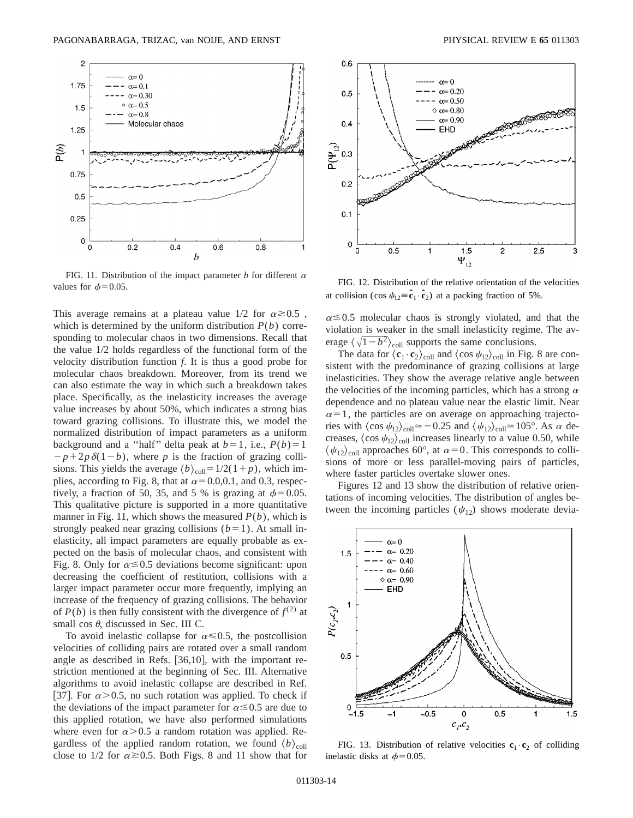

FIG. 11. Distribution of the impact parameter *b* for different  $\alpha$ values for  $\phi$  = 0.05. The impact parameter  $\beta$  for ambientation  $\alpha$  FIG. 12. Distribution of the relative orientation of the velocities

This average remains at a plateau value 1/2 for  $\alpha \ge 0.5$ , which is determined by the uniform distribution  $P(b)$  corresponding to molecular chaos in two dimensions. Recall that the value 1/2 holds regardless of the functional form of the velocity distribution function *f*. It is thus a good probe for molecular chaos breakdown. Moreover, from its trend we can also estimate the way in which such a breakdown takes place. Specifically, as the inelasticity increases the average value increases by about 50%, which indicates a strong bias toward grazing collisions. To illustrate this, we model the normalized distribution of impact parameters as a uniform background and a "half" delta peak at  $b=1$ , i.e.,  $P(b)=1$  $-p+2p\delta(1-b)$ , where *p* is the fraction of grazing collisions. This yields the average  $\langle b \rangle_{\text{coll}} = 1/2(1+p)$ , which implies, according to Fig. 8, that at  $\alpha$ =0.0,0.1, and 0.3, respectively, a fraction of 50, 35, and 5 % is grazing at  $\phi$ =0.05. This qualitative picture is supported in a more quantitative manner in Fig. 11, which shows the measured  $P(b)$ , which is strongly peaked near grazing collisions  $(b=1)$ . At small inelasticity, all impact parameters are equally probable as expected on the basis of molecular chaos, and consistent with Fig. 8. Only for  $\alpha \le 0.5$  deviations become significant: upon decreasing the coefficient of restitution, collisions with a larger impact parameter occur more frequently, implying an increase of the frequency of grazing collisions. The behavior of  $P(b)$  is then fully consistent with the divergence of  $f^{(2)}$  at small cos  $\theta$ , discussed in Sec. III C.

To avoid inelastic collapse for  $\alpha \le 0.5$ , the postcollision velocities of colliding pairs are rotated over a small random angle as described in Refs.  $[36,10]$ , with the important restriction mentioned at the beginning of Sec. III. Alternative algorithms to avoid inelastic collapse are described in Ref. [37]. For  $\alpha$  > 0.5, no such rotation was applied. To check if the deviations of the impact parameter for  $\alpha \leq 0.5$  are due to this applied rotation, we have also performed simulations where even for  $\alpha$  > 0.5 a random rotation was applied. Regardless of the applied random rotation, we found  $\langle b \rangle_{\text{coll}}$ close to 1/2 for  $\alpha \ge 0.5$ . Both Figs. 8 and 11 show that for



at collision (cos  $\psi_{12} = \hat{\mathbf{c}}_1 \cdot \hat{\mathbf{c}}_2$ ) at a packing fraction of 5%.

 $\alpha \leq 0.5$  molecular chaos is strongly violated, and that the violation is weaker in the small inelasticity regime. The average  $\langle \sqrt{1-b^2} \rangle_{\text{coll}}$  supports the same conclusions.

The data for  $\langle \mathbf{c}_1 \cdot \mathbf{c}_2 \rangle_{\text{coll}}$  and  $\langle \cos \psi_{12} \rangle_{\text{coll}}$  in Fig. 8 are consistent with the predominance of grazing collisions at large inelasticities. They show the average relative angle between the velocities of the incoming particles, which has a strong  $\alpha$ dependence and no plateau value near the elastic limit. Near  $\alpha=1$ , the particles are on average on approaching trajectories with  $\langle \cos \psi_{12} \rangle_{\text{coll}} \simeq -0.25$  and  $\langle \psi_{12} \rangle_{\text{coll}} \simeq 105^{\circ}$ . As  $\alpha$  decreases,  $\langle \cos \psi_{12} \rangle_{\text{coll}}$  increases linearly to a value 0.50, while  $\langle \psi_{12} \rangle_{\text{coll}}$  approaches 60°, at  $\alpha=0$ . This corresponds to collisions of more or less parallel-moving pairs of particles, where faster particles overtake slower ones.

Figures 12 and 13 show the distribution of relative orientations of incoming velocities. The distribution of angles between the incoming particles ( $\psi_{12}$ ) shows moderate devia-



FIG. 13. Distribution of relative velocities  $\mathbf{c}_1 \cdot \mathbf{c}_2$  of colliding inelastic disks at  $\phi$ =0.05.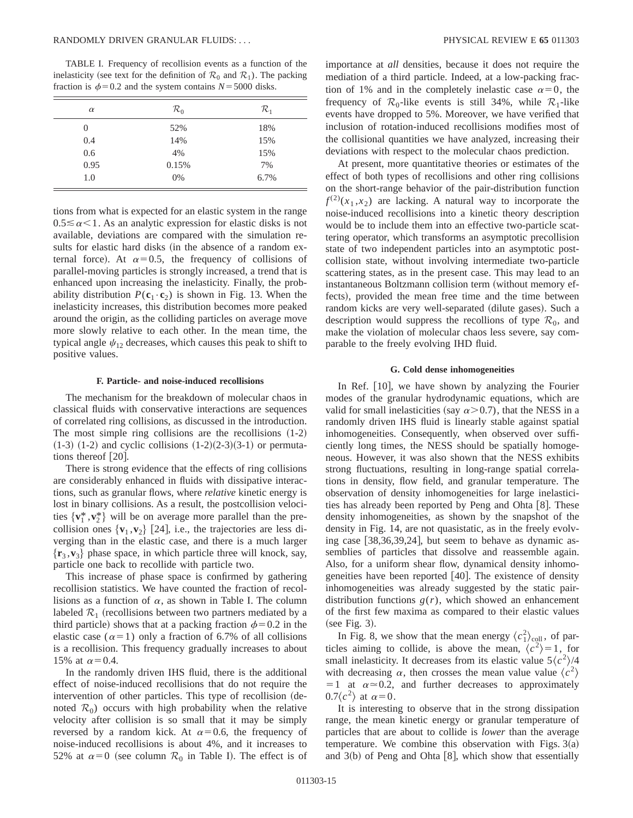TABLE I. Frequency of recollision events as a function of the inelasticity (see text for the definition of  $\mathcal{R}_0$  and  $\mathcal{R}_1$ ). The packing fraction is  $\phi$ =0.2 and the system contains *N*=5000 disks.

| $\alpha$ | $\mathcal{R}_0$ | $\mathcal{R}_1$ |
|----------|-----------------|-----------------|
| 0        | 52%             | 18%             |
| 0.4      | 14%             | 15%             |
| 0.6      | 4%              | 15%             |
| 0.95     | 0.15%           | 7%              |
| 1.0      | 0%              | 6.7%            |

tions from what is expected for an elastic system in the range  $0.5 \le \alpha \le 1$ . As an analytic expression for elastic disks is not available, deviations are compared with the simulation results for elastic hard disks (in the absence of a random external force). At  $\alpha=0.5$ , the frequency of collisions of parallel-moving particles is strongly increased, a trend that is enhanced upon increasing the inelasticity. Finally, the probability distribution  $P(c_1 \tcdot c_2)$  is shown in Fig. 13. When the inelasticity increases, this distribution becomes more peaked around the origin, as the colliding particles on average move more slowly relative to each other. In the mean time, the typical angle  $\psi_{12}$  decreases, which causes this peak to shift to positive values.

### **F. Particle- and noise-induced recollisions**

The mechanism for the breakdown of molecular chaos in classical fluids with conservative interactions are sequences of correlated ring collisions, as discussed in the introduction. The most simple ring collisions are the recollisions  $(1-2)$  $(1-3)$   $(1-2)$  and cyclic collisions  $(1-2)(2-3)(3-1)$  or permutations thereof  $|20|$ .

There is strong evidence that the effects of ring collisions are considerably enhanced in fluids with dissipative interactions, such as granular flows, where *relative* kinetic energy is lost in binary collisions. As a result, the postcollision velocities  $\{v_1^*, v_2^*\}$  will be on average more parallel than the precollision ones  $\{v_1, v_2\}$  [24], i.e., the trajectories are less diverging than in the elastic case, and there is a much larger  $\{r_3, v_3\}$  phase space, in which particle three will knock, say, particle one back to recollide with particle two.

This increase of phase space is confirmed by gathering recollision statistics. We have counted the fraction of recollisions as a function of  $\alpha$ , as shown in Table I. The column labeled  $\mathcal{R}_1$  (recollisions between two partners mediated by a third particle) shows that at a packing fraction  $\phi$ =0.2 in the elastic case ( $\alpha=1$ ) only a fraction of 6.7% of all collisions is a recollision. This frequency gradually increases to about 15% at  $\alpha$  = 0.4.

In the randomly driven IHS fluid, there is the additional effect of noise-induced recollisions that do not require the intervention of other particles. This type of recollision (denoted  $\mathcal{R}_0$ ) occurs with high probability when the relative velocity after collision is so small that it may be simply reversed by a random kick. At  $\alpha$ =0.6, the frequency of noise-induced recollisions is about 4%, and it increases to 52% at  $\alpha=0$  (see column  $\mathcal{R}_0$  in Table I). The effect is of importance at *all* densities, because it does not require the mediation of a third particle. Indeed, at a low-packing fraction of 1% and in the completely inelastic case  $\alpha=0$ , the frequency of  $\mathcal{R}_0$ -like events is still 34%, while  $\mathcal{R}_1$ -like events have dropped to 5%. Moreover, we have verified that inclusion of rotation-induced recollisions modifies most of the collisional quantities we have analyzed, increasing their deviations with respect to the molecular chaos prediction.

At present, more quantitative theories or estimates of the effect of both types of recollisions and other ring collisions on the short-range behavior of the pair-distribution function  $f^{(2)}(x_1, x_2)$  are lacking. A natural way to incorporate the noise-induced recollisions into a kinetic theory description would be to include them into an effective two-particle scattering operator, which transforms an asymptotic precollision state of two independent particles into an asymptotic postcollision state, without involving intermediate two-particle scattering states, as in the present case. This may lead to an instantaneous Boltzmann collision term (without memory effects), provided the mean free time and the time between random kicks are very well-separated (dilute gases). Such a description would suppress the recollions of type  $\mathcal{R}_0$ , and make the violation of molecular chaos less severe, say comparable to the freely evolving IHD fluid.

#### **G. Cold dense inhomogeneities**

In Ref.  $[10]$ , we have shown by analyzing the Fourier modes of the granular hydrodynamic equations, which are valid for small inelasticities (say  $\alpha$  > 0.7), that the NESS in a randomly driven IHS fluid is linearly stable against spatial inhomogeneities. Consequently, when observed over sufficiently long times, the NESS should be spatially homogeneous. However, it was also shown that the NESS exhibits strong fluctuations, resulting in long-range spatial correlations in density, flow field, and granular temperature. The observation of density inhomogeneities for large inelasticities has already been reported by Peng and Ohta  $[8]$ . These density inhomogeneities, as shown by the snapshot of the density in Fig. 14, are not quasistatic, as in the freely evolving case  $[38,36,39,24]$ , but seem to behave as dynamic assemblies of particles that dissolve and reassemble again. Also, for a uniform shear flow, dynamical density inhomogeneities have been reported  $[40]$ . The existence of density inhomogeneities was already suggested by the static pairdistribution functions  $g(r)$ , which showed an enhancement of the first few maxima as compared to their elastic values  $(see Fig. 3).$ 

In Fig. 8, we show that the mean energy  $\langle c_1^2 \rangle_{\text{coll}}$ , of particles aiming to collide, is above the mean,  $\langle c^2 \rangle = 1$ , for small inelasticity. It decreases from its elastic value  $5\langle c^2 \rangle /4$ with decreasing  $\alpha$ , then crosses the mean value value  $\langle c^2 \rangle$  $=$  1 at  $\alpha \approx 0.2$ , and further decreases to approximately  $0.7\langle c^2 \rangle$  at  $\alpha=0$ .

It is interesting to observe that in the strong dissipation range, the mean kinetic energy or granular temperature of particles that are about to collide is *lower* than the average temperature. We combine this observation with Figs.  $3(a)$ and  $3(b)$  of Peng and Ohta [8], which show that essentially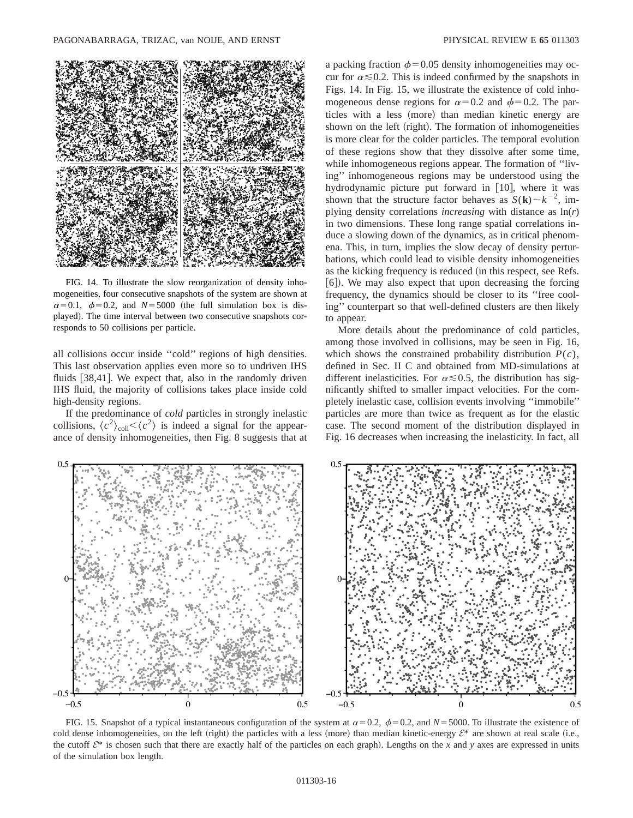

FIG. 14. To illustrate the slow reorganization of density inhomogeneities, four consecutive snapshots of the system are shown at  $\alpha=0.1$ ,  $\phi=0.2$ , and  $N=5000$  (the full simulation box is displayed). The time interval between two consecutive snapshots corresponds to 50 collisions per particle.

all collisions occur inside ''cold'' regions of high densities. This last observation applies even more so to undriven IHS fluids  $[38,41]$ . We expect that, also in the randomly driven IHS fluid, the majority of collisions takes place inside cold high-density regions.

If the predominance of *cold* particles in strongly inelastic collisions,  $\langle c^2 \rangle_{\text{coll}} < \langle c^2 \rangle$  is indeed a signal for the appearance of density inhomogeneities, then Fig. 8 suggests that at a packing fraction  $\phi$ =0.05 density inhomogeneities may occur for  $\alpha \le 0.2$ . This is indeed confirmed by the snapshots in Figs. 14. In Fig. 15, we illustrate the existence of cold inhomogeneous dense regions for  $\alpha=0.2$  and  $\phi=0.2$ . The particles with a less (more) than median kinetic energy are shown on the left (right). The formation of inhomogeneities is more clear for the colder particles. The temporal evolution of these regions show that they dissolve after some time, while inhomogeneous regions appear. The formation of ''living'' inhomogeneous regions may be understood using the hydrodynamic picture put forward in  $[10]$ , where it was shown that the structure factor behaves as  $S(\mathbf{k}) \sim k^{-2}$ , implying density correlations *increasing* with distance as ln(*r*) in two dimensions. These long range spatial correlations induce a slowing down of the dynamics, as in critical phenomena. This, in turn, implies the slow decay of density perturbations, which could lead to visible density inhomogeneities as the kicking frequency is reduced (in this respect, see Refs.  $[6]$ . We may also expect that upon decreasing the forcing frequency, the dynamics should be closer to its ''free cooling'' counterpart so that well-defined clusters are then likely to appear.

More details about the predominance of cold particles, among those involved in collisions, may be seen in Fig. 16, which shows the constrained probability distribution  $P(c)$ , defined in Sec. II C and obtained from MD-simulations at different inelasticities. For  $\alpha \le 0.5$ , the distribution has significantly shifted to smaller impact velocities. For the completely inelastic case, collision events involving ''immobile'' particles are more than twice as frequent as for the elastic case. The second moment of the distribution displayed in Fig. 16 decreases when increasing the inelasticity. In fact, all



FIG. 15. Snapshot of a typical instantaneous configuration of the system at  $\alpha = 0.2$ ,  $\phi = 0.2$ , and  $N = 5000$ . To illustrate the existence of cold dense inhomogeneities, on the left (right) the particles with a less (more) than median kinetic-energy  $\mathcal{E}^*$  are shown at real scale (i.e., the cutoff  $\mathcal{E}^*$  is chosen such that there are exactly half of the particles on each graph). Lengths on the *x* and *y* axes are expressed in units of the simulation box length.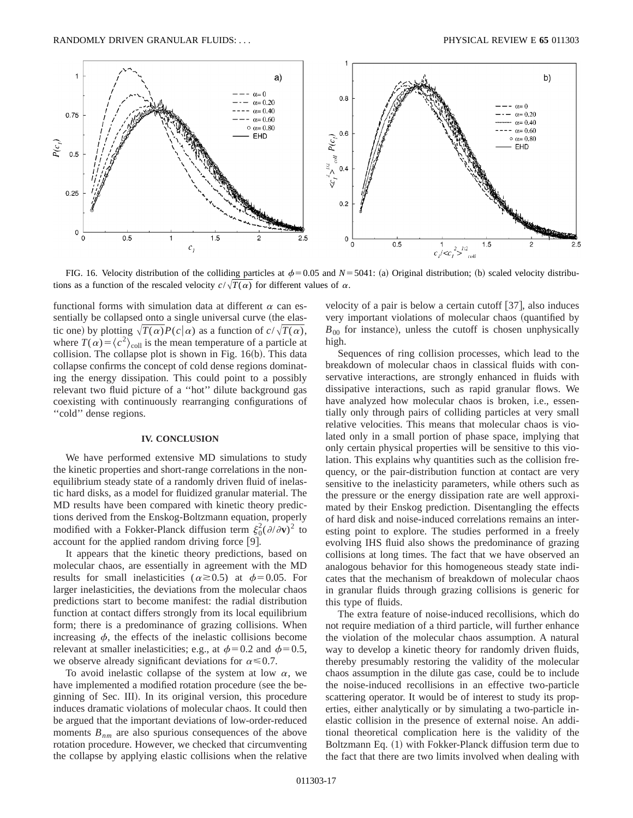

FIG. 16. Velocity distribution of the colliding particles at  $\phi$  = 0.05 and *N* = 5041: (a) Original distribution; (b) scaled velocity distributions as a function of the rescaled velocity  $c/\sqrt{T(\alpha)}$  for different values of  $\alpha$ .

functional forms with simulation data at different  $\alpha$  can essentially be collapsed onto a single universal curve (the elastic one) by plotting  $\sqrt{T(\alpha)}P(c|\alpha)$  as a function of  $c/\sqrt{T(\alpha)}$ , where  $T(\alpha) = \langle c^2 \rangle_{\text{coll}}$  is the mean temperature of a particle at collision. The collapse plot is shown in Fig.  $16(b)$ . This data collapse confirms the concept of cold dense regions dominating the energy dissipation. This could point to a possibly relevant two fluid picture of a ''hot'' dilute background gas coexisting with continuously rearranging configurations of "cold" dense regions.

### **IV. CONCLUSION**

We have performed extensive MD simulations to study the kinetic properties and short-range correlations in the nonequilibrium steady state of a randomly driven fluid of inelastic hard disks, as a model for fluidized granular material. The MD results have been compared with kinetic theory predictions derived from the Enskog-Boltzmann equation, properly modified with a Fokker-Planck diffusion term  $\xi_0^2 (\partial/\partial \mathbf{v})^2$  to account for the applied random driving force  $[9]$ .

It appears that the kinetic theory predictions, based on molecular chaos, are essentially in agreement with the MD results for small inelasticities ( $\alpha \ge 0.5$ ) at  $\phi = 0.05$ . For larger inelasticities, the deviations from the molecular chaos predictions start to become manifest: the radial distribution function at contact differs strongly from its local equilibrium form; there is a predominance of grazing collisions. When increasing  $\phi$ , the effects of the inelastic collisions become relevant at smaller inelasticities; e.g., at  $\phi$ =0.2 and  $\phi$ =0.5, we observe already significant deviations for  $\alpha \le 0.7$ .

To avoid inelastic collapse of the system at low  $\alpha$ , we have implemented a modified rotation procedure (see the beginning of Sec. III). In its original version, this procedure induces dramatic violations of molecular chaos. It could then be argued that the important deviations of low-order-reduced moments  $B_{nm}$  are also spurious consequences of the above rotation procedure. However, we checked that circumventing the collapse by applying elastic collisions when the relative velocity of a pair is below a certain cutoff  $[37]$ , also induces very important violations of molecular chaos (quantified by  $B_{00}$  for instance), unless the cutoff is chosen unphysically high.

Sequences of ring collision processes, which lead to the breakdown of molecular chaos in classical fluids with conservative interactions, are strongly enhanced in fluids with dissipative interactions, such as rapid granular flows. We have analyzed how molecular chaos is broken, i.e., essentially only through pairs of colliding particles at very small relative velocities. This means that molecular chaos is violated only in a small portion of phase space, implying that only certain physical properties will be sensitive to this violation. This explains why quantities such as the collision frequency, or the pair-distribution function at contact are very sensitive to the inelasticity parameters, while others such as the pressure or the energy dissipation rate are well approximated by their Enskog prediction. Disentangling the effects of hard disk and noise-induced correlations remains an interesting point to explore. The studies performed in a freely evolving IHS fluid also shows the predominance of grazing collisions at long times. The fact that we have observed an analogous behavior for this homogeneous steady state indicates that the mechanism of breakdown of molecular chaos in granular fluids through grazing collisions is generic for this type of fluids.

The extra feature of noise-induced recollisions, which do not require mediation of a third particle, will further enhance the violation of the molecular chaos assumption. A natural way to develop a kinetic theory for randomly driven fluids, thereby presumably restoring the validity of the molecular chaos assumption in the dilute gas case, could be to include the noise-induced recollisions in an effective two-particle scattering operator. It would be of interest to study its properties, either analytically or by simulating a two-particle inelastic collision in the presence of external noise. An additional theoretical complication here is the validity of the Boltzmann Eq.  $(1)$  with Fokker-Planck diffusion term due to the fact that there are two limits involved when dealing with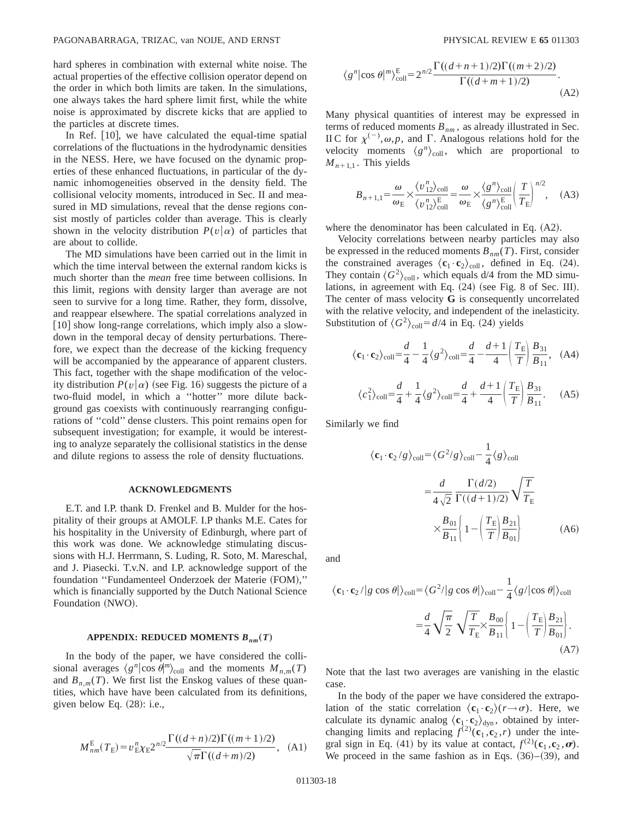hard spheres in combination with external white noise. The actual properties of the effective collision operator depend on the order in which both limits are taken. In the simulations, one always takes the hard sphere limit first, while the white noise is approximated by discrete kicks that are applied to the particles at discrete times.

In Ref.  $[10]$ , we have calculated the equal-time spatial correlations of the fluctuations in the hydrodynamic densities in the NESS. Here, we have focused on the dynamic properties of these enhanced fluctuations, in particular of the dynamic inhomogeneities observed in the density field. The collisional velocity moments, introduced in Sec. II and measured in MD simulations, reveal that the dense regions consist mostly of particles colder than average. This is clearly shown in the velocity distribution  $P(v|\alpha)$  of particles that are about to collide.

The MD simulations have been carried out in the limit in which the time interval between the external random kicks is much shorter than the *mean* free time between collisions. In this limit, regions with density larger than average are not seen to survive for a long time. Rather, they form, dissolve, and reappear elsewhere. The spatial correlations analyzed in  $\lceil 10 \rceil$  show long-range correlations, which imply also a slowdown in the temporal decay of density perturbations. Therefore, we expect than the decrease of the kicking frequency will be accompanied by the appearance of apparent clusters. This fact, together with the shape modification of the velocity distribution  $P(v|\alpha)$  (see Fig. 16) suggests the picture of a two-fluid model, in which a ''hotter'' more dilute background gas coexists with continuously rearranging configurations of ''cold'' dense clusters. This point remains open for subsequent investigation; for example, it would be interesting to analyze separately the collisional statistics in the dense and dilute regions to assess the role of density fluctuations.

#### **ACKNOWLEDGMENTS**

E.T. and I.P. thank D. Frenkel and B. Mulder for the hospitality of their groups at AMOLF. I.P thanks M.E. Cates for his hospitality in the University of Edinburgh, where part of this work was done. We acknowledge stimulating discussions with H.J. Herrmann, S. Luding, R. Soto, M. Mareschal, and J. Piasecki. T.v.N. and I.P. acknowledge support of the foundation "Fundamenteel Onderzoek der Materie (FOM)," which is financially supported by the Dutch National Science Foundation (NWO).

#### **APPENDIX: REDUCED MOMENTS**  $B_{nm}(T)$

In the body of the paper, we have considered the collisional averages  $\langle g^n | \cos \theta |^m \rangle_{\text{coll}}$  and the moments  $M_{n,m}(T)$ and  $B_{n,m}(T)$ . We first list the Enskog values of these quantities, which have have been calculated from its definitions, given below Eq.  $(28)$ : i.e.,

$$
M_{nm}^{E}(T_{E}) = v_{E}^{n} \chi_{E} 2^{n/2} \frac{\Gamma((d+n)/2) \Gamma((m+1)/2)}{\sqrt{\pi} \Gamma((d+m)/2)}, \quad (A1)
$$

$$
\langle g^n | \cos \theta |^m \rangle_{\text{coll}}^E = 2^{n/2} \frac{\Gamma((d+n+1)/2) \Gamma((m+2)/2)}{\Gamma((d+m+1)/2)}.
$$
\n(A2)

Many physical quantities of interest may be expressed in terms of reduced moments  $B_{nm}$ , as already illustrated in Sec. IIC for  $\chi^{(-)}$ ,  $\omega, p$ , and  $\Gamma$ . Analogous relations hold for the velocity moments  $\langle g^n \rangle_{\text{coll}}$ , which are proportional to  $M_{n+1,1}$ . This yields

$$
B_{n+1,1} = \frac{\omega}{\omega_{\rm E}} \times \frac{\langle v_{12}^n \rangle_{\rm coll}}{\langle v_{12}^n \rangle_{\rm coll}^{\rm E}} = \frac{\omega}{\omega_{\rm E}} \times \frac{\langle g^n \rangle_{\rm coll}}{\langle g^n \rangle_{\rm coll}^{\rm E}} \left( \frac{T}{T_{\rm E}} \right)^{n/2}, \quad \text{(A3)}
$$

where the denominator has been calculated in Eq.  $(A2)$ .

Velocity correlations between nearby particles may also be expressed in the reduced moments  $B_{nm}(T)$ . First, consider the constrained averages  $\langle \mathbf{c}_1 \cdot \mathbf{c}_2 \rangle_{\text{coll}}$ , defined in Eq. (24). They contain  $\langle G^2 \rangle_{\text{coll}}$ , which equals d/4 from the MD simulations, in agreement with Eq.  $(24)$  (see Fig. 8 of Sec. III). The center of mass velocity **G** is consequently uncorrelated with the relative velocity, and independent of the inelasticity. Substitution of  $\langle G^2 \rangle_{\text{coll}} = d/4$  in Eq. (24) yields

$$
\langle \mathbf{c}_1 \cdot \mathbf{c}_2 \rangle_{\text{coll}} = \frac{d}{4} - \frac{1}{4} \langle g^2 \rangle_{\text{coll}} = \frac{d}{4} - \frac{d+1}{4} \left( \frac{T_{\text{E}}}{T} \right) \frac{B_{31}}{B_{11}}, \quad (A4)
$$

$$
\langle c_1^2 \rangle_{\text{coll}} = \frac{d}{4} + \frac{1}{4} \langle g^2 \rangle_{\text{coll}} = \frac{d}{4} + \frac{d+1}{4} \left( \frac{T_{\text{E}}}{T} \right) \frac{B_{31}}{B_{11}}.
$$
 (A5)

Similarly we find

$$
\langle \mathbf{c}_1 \cdot \mathbf{c}_2/g \rangle_{\text{coll}} = \langle G^2/g \rangle_{\text{coll}} - \frac{1}{4} \langle g \rangle_{\text{coll}}
$$

$$
= \frac{d}{4\sqrt{2}} \frac{\Gamma(d/2)}{\Gamma((d+1)/2)} \sqrt{\frac{T}{T_{\text{E}}}}
$$

$$
\times \frac{B_{01}}{B_{11}} \left\{ 1 - \left(\frac{T_{\text{E}}}{T}\right) \frac{B_{21}}{B_{01}} \right\} \tag{A6}
$$

and

$$
\langle \mathbf{c}_1 \cdot \mathbf{c}_2 / |g \cos \theta| \rangle_{\text{coll}} = \langle G^2 / |g \cos \theta| \rangle_{\text{coll}} - \frac{1}{4} \langle g / | \cos \theta | \rangle_{\text{coll}}
$$

$$
= \frac{d}{4} \sqrt{\frac{\pi}{2}} \sqrt{\frac{T}{T_{\text{E}}} \times \frac{B_{00}}{B_{11}}} \Biggl\{ 1 - \Biggl( \frac{T_{\text{E}}}{T} \Biggr) \frac{B_{21}}{B_{01}} \Biggr\}.
$$
(A7)

Note that the last two averages are vanishing in the elastic case.

In the body of the paper we have considered the extrapolation of the static correlation  $\langle \mathbf{c}_1 \cdot \mathbf{c}_2 \rangle$  $(r \rightarrow \sigma)$ . Here, we calculate its dynamic analog  $\langle \mathbf{c}_1 \cdot \mathbf{c}_2 \rangle_{dyn}$ , obtained by interchanging limits and replacing  $f^{(2)}(c_1, c_2, r)$  under the integral sign in Eq. (41) by its value at contact,  $f^{(2)}(\mathbf{c}_1, \mathbf{c}_2, \boldsymbol{\sigma})$ . We proceed in the same fashion as in Eqs.  $(36)$ – $(39)$ , and